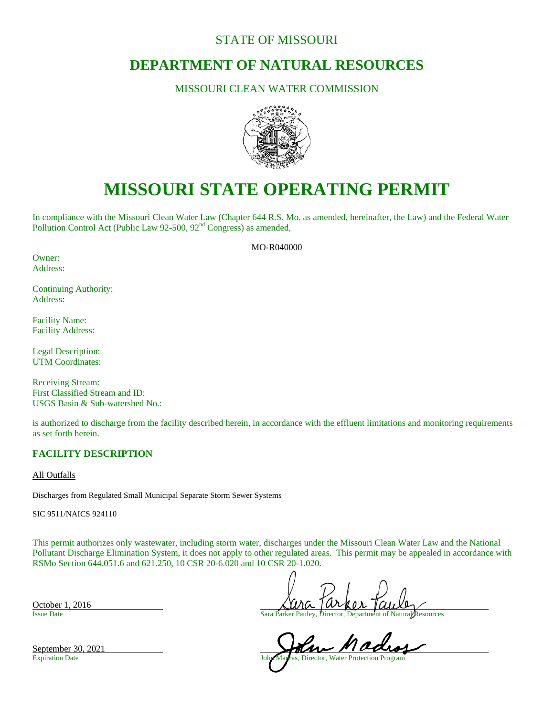# STATE OF MISSOURI

# **DEPARTMENT OF NATURAL RESOURCES**

# MISSOURI CLEAN WATER COMMISSION



# **MISSOURI STATE OPERATING PERMIT**

In compliance with the Missouri Clean Water Law (Chapter 644 R.S. Mo. as amended, hereinafter, the Law) and the Federal Water Pollution Control Act (Public Law 92-500, 92<sup>nd</sup> Congress) as amended,

MO-R040000

Owner: Address:

Continuing Authority: Address:

Facility Name: Facility Address:

Legal Description: UTM Coordinates:

Receiving Stream: First Classified Stream and ID: USGS Basin & Sub-watershed No.:

is authorized to discharge from the facility described herein, in accordance with the effluent limitations and monitoring requirements as set forth herein.

# **FACILITY DESCRIPTION**

All Outfalls

Discharges from Regulated Small Municipal Separate Storm Sewer Systems

SIC 9511/NAICS 924110

This permit authorizes only wastewater, including storm water, discharges under the Missouri Clean Water Law and the National Pollutant Discharge Elimination System, it does not apply to other regulated areas. This permit may be appealed in accordance with RSMo Section 644.051.6 and 621.250, 10 CSR 20-6.020 and 10 CSR 20-1.020.

Issue Date Sara Parker Pauley, Director, Department of Natural Resources

September 30, 2021<br>Expiration Date John Madras, Director, Water Protection Program

September 30, 2021

October 1, 2016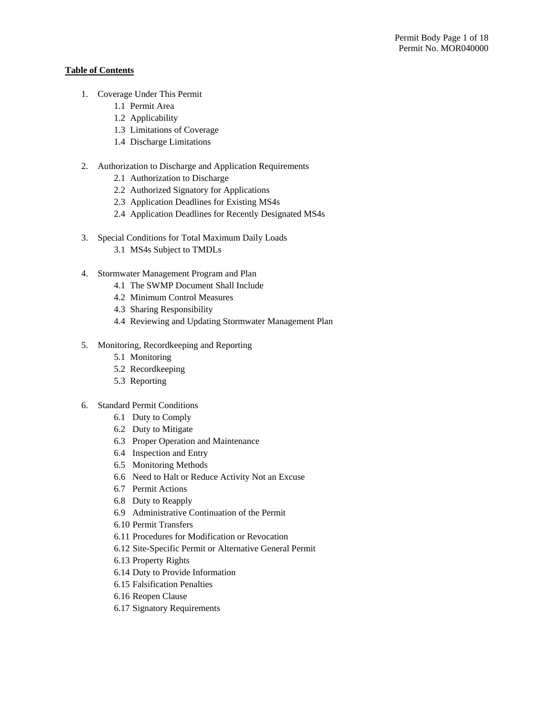# **Table of Contents**

- 1. Coverage Under This Permit
	- 1.1 Permit Area
	- 1.2 Applicability
	- 1.3 Limitations of Coverage
	- 1.4 Discharge Limitations
- 2. Authorization to Discharge and Application Requirements
	- 2.1 Authorization to Discharge
	- 2.2 Authorized Signatory for Applications
	- 2.3 Application Deadlines for Existing MS4s
	- 2.4 Application Deadlines for Recently Designated MS4s
- 3. Special Conditions for Total Maximum Daily Loads
	- 3.1 MS4s Subject to TMDLs
- 4. Stormwater Management Program and Plan
	- 4.1 The SWMP Document Shall Include
	- 4.2 Minimum Control Measures
	- 4.3 Sharing Responsibility
	- 4.4 Reviewing and Updating Stormwater Management Plan
- 5. Monitoring, Recordkeeping and Reporting
	- 5.1 Monitoring
	- 5.2 Recordkeeping
	- 5.3 Reporting
- 6. Standard Permit Conditions
	- 6.1 Duty to Comply
	- 6.2 Duty to Mitigate
	- 6.3 Proper Operation and Maintenance
	- 6.4 Inspection and Entry
	- 6.5 Monitoring Methods
	- 6.6 Need to Halt or Reduce Activity Not an Excuse
	- 6.7 Permit Actions
	- 6.8 Duty to Reapply
	- 6.9 Administrative Continuation of the Permit
	- 6.10 Permit Transfers
	- 6.11 Procedures for Modification or Revocation
	- 6.12 Site-Specific Permit or Alternative General Permit
	- 6.13 Property Rights
	- 6.14 Duty to Provide Information
	- 6.15 Falsification Penalties
	- 6.16 Reopen Clause
	- 6.17 Signatory Requirements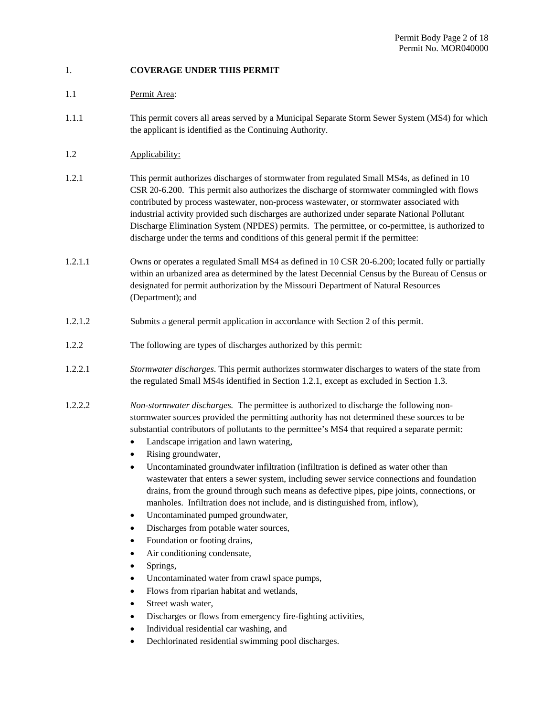# 1. **COVERAGE UNDER THIS PERMIT**

# 1.1 Permit Area:

- 1.1.1 This permit covers all areas served by a Municipal Separate Storm Sewer System (MS4) for which the applicant is identified as the Continuing Authority.
- 1.2 Applicability:
- 1.2.1 This permit authorizes discharges of stormwater from regulated Small MS4s, as defined in 10 CSR 20-6.200. This permit also authorizes the discharge of stormwater commingled with flows contributed by process wastewater, non-process wastewater, or stormwater associated with industrial activity provided such discharges are authorized under separate National Pollutant Discharge Elimination System (NPDES) permits. The permittee, or co-permittee, is authorized to discharge under the terms and conditions of this general permit if the permittee:
- 1.2.1.1 Owns or operates a regulated Small MS4 as defined in 10 CSR 20-6.200; located fully or partially within an urbanized area as determined by the latest Decennial Census by the Bureau of Census or designated for permit authorization by the Missouri Department of Natural Resources (Department); and
- 1.2.1.2 Submits a general permit application in accordance with Section 2 of this permit.
- 1.2.2 The following are types of discharges authorized by this permit:
- 1.2.2.1 *Stormwater discharges*. This permit authorizes stormwater discharges to waters of the state from the regulated Small MS4s identified in Section 1.2.1, except as excluded in Section 1.3.
- 1.2.2.2 *Non-stormwater discharges.* The permittee is authorized to discharge the following nonstormwater sources provided the permitting authority has not determined these sources to be substantial contributors of pollutants to the permittee's MS4 that required a separate permit:
	- Landscape irrigation and lawn watering,
	- Rising groundwater,
	- Uncontaminated groundwater infiltration (infiltration is defined as water other than wastewater that enters a sewer system, including sewer service connections and foundation drains, from the ground through such means as defective pipes, pipe joints, connections, or manholes. Infiltration does not include, and is distinguished from, inflow),
	- Uncontaminated pumped groundwater,
	- Discharges from potable water sources,
	- Foundation or footing drains,
	- Air conditioning condensate,
	- Springs,
	- Uncontaminated water from crawl space pumps,
	- Flows from riparian habitat and wetlands,
	- Street wash water,
	- Discharges or flows from emergency fire-fighting activities,
	- Individual residential car washing, and
	- Dechlorinated residential swimming pool discharges.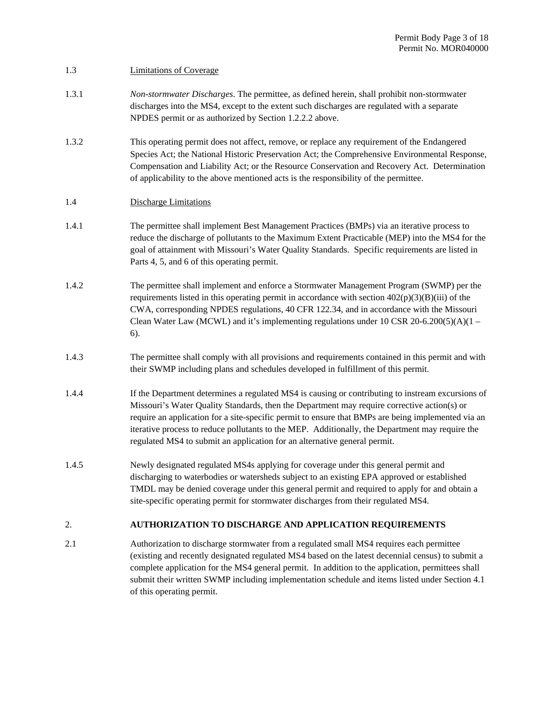#### 1.3 Limitations of Coverage

- 1.3.1 *Non-stormwater Discharges*. The permittee, as defined herein, shall prohibit non-stormwater discharges into the MS4, except to the extent such discharges are regulated with a separate NPDES permit or as authorized by Section 1.2.2.2 above.
- 1.3.2 This operating permit does not affect, remove, or replace any requirement of the Endangered Species Act; the National Historic Preservation Act; the Comprehensive Environmental Response, Compensation and Liability Act; or the Resource Conservation and Recovery Act. Determination of applicability to the above mentioned acts is the responsibility of the permittee.

# 1.4 Discharge Limitations

- 1.4.1 The permittee shall implement Best Management Practices (BMPs) via an iterative process to reduce the discharge of pollutants to the Maximum Extent Practicable (MEP) into the MS4 for the goal of attainment with Missouri's Water Quality Standards. Specific requirements are listed in Parts 4, 5, and 6 of this operating permit.
- 1.4.2 The permittee shall implement and enforce a Stormwater Management Program (SWMP) per the requirements listed in this operating permit in accordance with section  $402(p)(3)(B)(iii)$  of the CWA, corresponding NPDES regulations, 40 CFR 122.34, and in accordance with the Missouri Clean Water Law (MCWL) and it's implementing regulations under 10 CSR 20-6.200(5)(A)(1 – 6).
- 1.4.3 The permittee shall comply with all provisions and requirements contained in this permit and with their SWMP including plans and schedules developed in fulfillment of this permit.
- 1.4.4 If the Department determines a regulated MS4 is causing or contributing to instream excursions of Missouri's Water Quality Standards, then the Department may require corrective action(s) or require an application for a site-specific permit to ensure that BMPs are being implemented via an iterative process to reduce pollutants to the MEP. Additionally, the Department may require the regulated MS4 to submit an application for an alternative general permit.
- 1.4.5 Newly designated regulated MS4s applying for coverage under this general permit and discharging to waterbodies or watersheds subject to an existing EPA approved or established TMDL may be denied coverage under this general permit and required to apply for and obtain a site-specific operating permit for stormwater discharges from their regulated MS4.

# 2. **AUTHORIZATION TO DISCHARGE AND APPLICATION REQUIREMENTS**

2.1 Authorization to discharge stormwater from a regulated small MS4 requires each permittee (existing and recently designated regulated MS4 based on the latest decennial census) to submit a complete application for the MS4 general permit. In addition to the application, permittees shall submit their written SWMP including implementation schedule and items listed under Section 4.1 of this operating permit.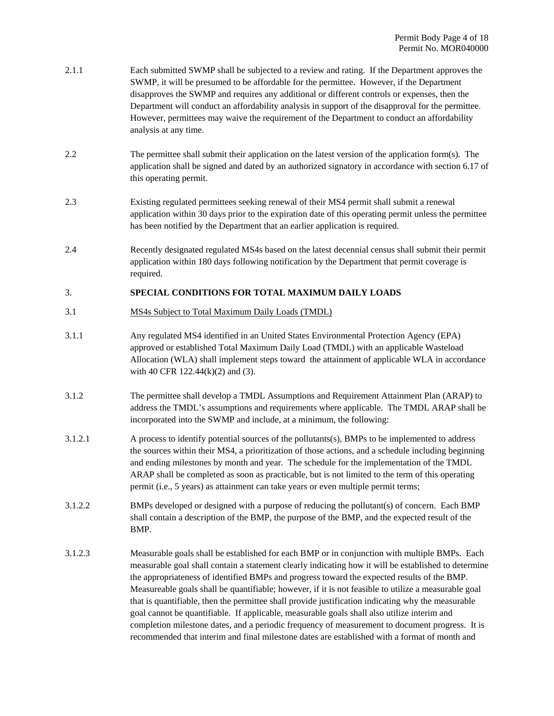- 2.1.1 Each submitted SWMP shall be subjected to a review and rating. If the Department approves the SWMP, it will be presumed to be affordable for the permittee. However, if the Department disapproves the SWMP and requires any additional or different controls or expenses, then the Department will conduct an affordability analysis in support of the disapproval for the permittee. However, permittees may waive the requirement of the Department to conduct an affordability analysis at any time.
- 2.2 The permittee shall submit their application on the latest version of the application form(s). The application shall be signed and dated by an authorized signatory in accordance with section 6.17 of this operating permit.
- 2.3 Existing regulated permittees seeking renewal of their MS4 permit shall submit a renewal application within 30 days prior to the expiration date of this operating permit unless the permittee has been notified by the Department that an earlier application is required.
- 2.4 Recently designated regulated MS4s based on the latest decennial census shall submit their permit application within 180 days following notification by the Department that permit coverage is required.

#### 3. **SPECIAL CONDITIONS FOR TOTAL MAXIMUM DAILY LOADS**

- 3.1 MS4s Subject to Total Maximum Daily Loads (TMDL)
- 3.1.1 Any regulated MS4 identified in an United States Environmental Protection Agency (EPA) approved or established Total Maximum Daily Load (TMDL) with an applicable Wasteload Allocation (WLA) shall implement steps toward the attainment of applicable WLA in accordance with 40 CFR 122.44(k)(2) and (3).
- 3.1.2 The permittee shall develop a TMDL Assumptions and Requirement Attainment Plan (ARAP) to address the TMDL's assumptions and requirements where applicable. The TMDL ARAP shall be incorporated into the SWMP and include, at a minimum, the following:
- 3.1.2.1 A process to identify potential sources of the pollutants(s), BMPs to be implemented to address the sources within their MS4, a prioritization of those actions, and a schedule including beginning and ending milestones by month and year. The schedule for the implementation of the TMDL ARAP shall be completed as soon as practicable, but is not limited to the term of this operating permit (i.e., 5 years) as attainment can take years or even multiple permit terms;
- 3.1.2.2 BMPs developed or designed with a purpose of reducing the pollutant(s) of concern. Each BMP shall contain a description of the BMP, the purpose of the BMP, and the expected result of the BMP.
- 3.1.2.3 Measurable goals shall be established for each BMP or in conjunction with multiple BMPs. Each measurable goal shall contain a statement clearly indicating how it will be established to determine the appropriateness of identified BMPs and progress toward the expected results of the BMP. Measureable goals shall be quantifiable; however, if it is not feasible to utilize a measurable goal that is quantifiable, then the permittee shall provide justification indicating why the measurable goal cannot be quantifiable. If applicable, measurable goals shall also utilize interim and completion milestone dates, and a periodic frequency of measurement to document progress. It is recommended that interim and final milestone dates are established with a format of month and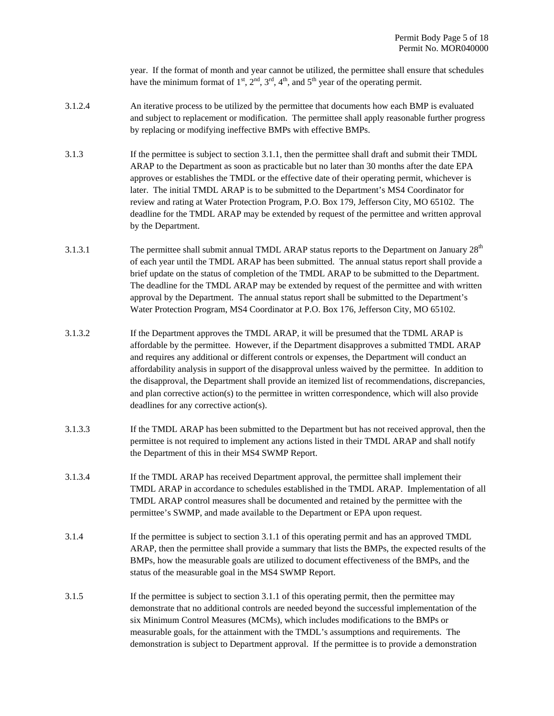year. If the format of month and year cannot be utilized, the permittee shall ensure that schedules have the minimum format of  $1<sup>st</sup>, 2<sup>nd</sup>, 3<sup>rd</sup>, 4<sup>th</sup>$ , and  $5<sup>th</sup>$  year of the operating permit.

- 3.1.2.4 An iterative process to be utilized by the permittee that documents how each BMP is evaluated and subject to replacement or modification. The permittee shall apply reasonable further progress by replacing or modifying ineffective BMPs with effective BMPs.
- 3.1.3 If the permittee is subject to section 3.1.1, then the permittee shall draft and submit their TMDL ARAP to the Department as soon as practicable but no later than 30 months after the date EPA approves or establishes the TMDL or the effective date of their operating permit, whichever is later. The initial TMDL ARAP is to be submitted to the Department's MS4 Coordinator for review and rating at Water Protection Program, P.O. Box 179, Jefferson City, MO 65102. The deadline for the TMDL ARAP may be extended by request of the permittee and written approval by the Department.
- 3.1.3.1 The permittee shall submit annual TMDL ARAP status reports to the Department on January 28<sup>th</sup> of each year until the TMDL ARAP has been submitted. The annual status report shall provide a brief update on the status of completion of the TMDL ARAP to be submitted to the Department. The deadline for the TMDL ARAP may be extended by request of the permittee and with written approval by the Department. The annual status report shall be submitted to the Department's Water Protection Program, MS4 Coordinator at P.O. Box 176, Jefferson City, MO 65102.
- 3.1.3.2 If the Department approves the TMDL ARAP, it will be presumed that the TDML ARAP is affordable by the permittee. However, if the Department disapproves a submitted TMDL ARAP and requires any additional or different controls or expenses, the Department will conduct an affordability analysis in support of the disapproval unless waived by the permittee. In addition to the disapproval, the Department shall provide an itemized list of recommendations, discrepancies, and plan corrective action(s) to the permittee in written correspondence, which will also provide deadlines for any corrective action(s).
- 3.1.3.3 If the TMDL ARAP has been submitted to the Department but has not received approval, then the permittee is not required to implement any actions listed in their TMDL ARAP and shall notify the Department of this in their MS4 SWMP Report.
- 3.1.3.4 If the TMDL ARAP has received Department approval, the permittee shall implement their TMDL ARAP in accordance to schedules established in the TMDL ARAP. Implementation of all TMDL ARAP control measures shall be documented and retained by the permittee with the permittee's SWMP, and made available to the Department or EPA upon request.
- 3.1.4 If the permittee is subject to section 3.1.1 of this operating permit and has an approved TMDL ARAP, then the permittee shall provide a summary that lists the BMPs, the expected results of the BMPs, how the measurable goals are utilized to document effectiveness of the BMPs, and the status of the measurable goal in the MS4 SWMP Report.
- 3.1.5 If the permittee is subject to section 3.1.1 of this operating permit, then the permittee may demonstrate that no additional controls are needed beyond the successful implementation of the six Minimum Control Measures (MCMs), which includes modifications to the BMPs or measurable goals, for the attainment with the TMDL's assumptions and requirements. The demonstration is subject to Department approval. If the permittee is to provide a demonstration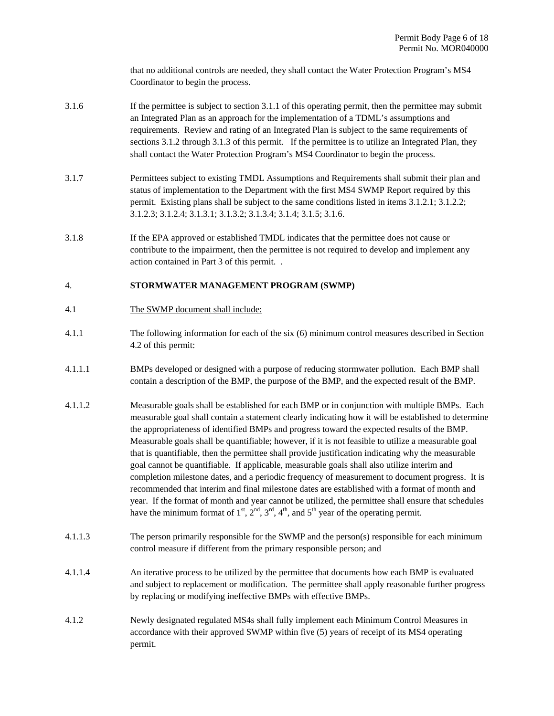that no additional controls are needed, they shall contact the Water Protection Program's MS4 Coordinator to begin the process.

- 3.1.6 If the permittee is subject to section 3.1.1 of this operating permit, then the permittee may submit an Integrated Plan as an approach for the implementation of a TDML's assumptions and requirements. Review and rating of an Integrated Plan is subject to the same requirements of sections 3.1.2 through 3.1.3 of this permit. If the permittee is to utilize an Integrated Plan, they shall contact the Water Protection Program's MS4 Coordinator to begin the process.
- 3.1.7 Permittees subject to existing TMDL Assumptions and Requirements shall submit their plan and status of implementation to the Department with the first MS4 SWMP Report required by this permit. Existing plans shall be subject to the same conditions listed in items 3.1.2.1; 3.1.2.2; 3.1.2.3; 3.1.2.4; 3.1.3.1; 3.1.3.2; 3.1.3.4; 3.1.4; 3.1.5; 3.1.6.
- 3.1.8 If the EPA approved or established TMDL indicates that the permittee does not cause or contribute to the impairment, then the permittee is not required to develop and implement any action contained in Part 3 of this permit. .

# 4. **STORMWATER MANAGEMENT PROGRAM (SWMP)**

- 4.1 The SWMP document shall include:
- 4.1.1 The following information for each of the six (6) minimum control measures described in Section 4.2 of this permit:
- 4.1.1.1 BMPs developed or designed with a purpose of reducing stormwater pollution. Each BMP shall contain a description of the BMP, the purpose of the BMP, and the expected result of the BMP.
- 4.1.1.2 Measurable goals shall be established for each BMP or in conjunction with multiple BMPs. Each measurable goal shall contain a statement clearly indicating how it will be established to determine the appropriateness of identified BMPs and progress toward the expected results of the BMP. Measurable goals shall be quantifiable; however, if it is not feasible to utilize a measurable goal that is quantifiable, then the permittee shall provide justification indicating why the measurable goal cannot be quantifiable. If applicable, measurable goals shall also utilize interim and completion milestone dates, and a periodic frequency of measurement to document progress. It is recommended that interim and final milestone dates are established with a format of month and year. If the format of month and year cannot be utilized, the permittee shall ensure that schedules have the minimum format of  $1<sup>st</sup>$ ,  $2<sup>nd</sup>$ ,  $3<sup>rd</sup>$ ,  $4<sup>th</sup>$ , and  $5<sup>th</sup>$  year of the operating permit.
- 4.1.1.3 The person primarily responsible for the SWMP and the person(s) responsible for each minimum control measure if different from the primary responsible person; and
- 4.1.1.4 An iterative process to be utilized by the permittee that documents how each BMP is evaluated and subject to replacement or modification. The permittee shall apply reasonable further progress by replacing or modifying ineffective BMPs with effective BMPs.
- 4.1.2 Newly designated regulated MS4s shall fully implement each Minimum Control Measures in accordance with their approved SWMP within five (5) years of receipt of its MS4 operating permit.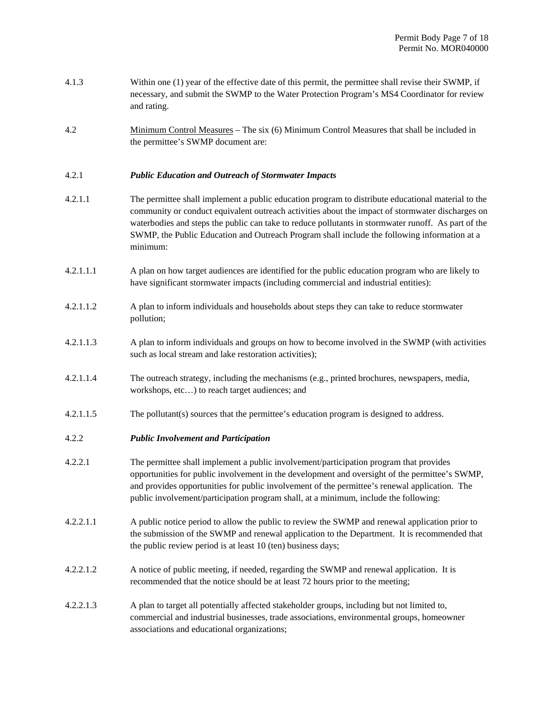| 4.1.3     | Within one (1) year of the effective date of this permit, the permittee shall revise their SWMP, if<br>necessary, and submit the SWMP to the Water Protection Program's MS4 Coordinator for review<br>and rating.                                                                                                                                                                                                         |
|-----------|---------------------------------------------------------------------------------------------------------------------------------------------------------------------------------------------------------------------------------------------------------------------------------------------------------------------------------------------------------------------------------------------------------------------------|
| 4.2       | Minimum Control Measures – The six (6) Minimum Control Measures that shall be included in<br>the permittee's SWMP document are:                                                                                                                                                                                                                                                                                           |
| 4.2.1     | <b>Public Education and Outreach of Stormwater Impacts</b>                                                                                                                                                                                                                                                                                                                                                                |
| 4.2.1.1   | The permittee shall implement a public education program to distribute educational material to the<br>community or conduct equivalent outreach activities about the impact of stormwater discharges on<br>waterbodies and steps the public can take to reduce pollutants in stormwater runoff. As part of the<br>SWMP, the Public Education and Outreach Program shall include the following information at a<br>minimum: |
| 4.2.1.1.1 | A plan on how target audiences are identified for the public education program who are likely to<br>have significant stormwater impacts (including commercial and industrial entities):                                                                                                                                                                                                                                   |
| 4.2.1.1.2 | A plan to inform individuals and households about steps they can take to reduce stormwater<br>pollution;                                                                                                                                                                                                                                                                                                                  |
| 4.2.1.1.3 | A plan to inform individuals and groups on how to become involved in the SWMP (with activities<br>such as local stream and lake restoration activities);                                                                                                                                                                                                                                                                  |
| 4.2.1.1.4 | The outreach strategy, including the mechanisms (e.g., printed brochures, newspapers, media,<br>workshops, etc) to reach target audiences; and                                                                                                                                                                                                                                                                            |
| 4.2.1.1.5 | The pollutant(s) sources that the permittee's education program is designed to address.                                                                                                                                                                                                                                                                                                                                   |
| 4.2.2     | <b>Public Involvement and Participation</b>                                                                                                                                                                                                                                                                                                                                                                               |
| 4.2.2.1   | The permittee shall implement a public involvement/participation program that provides<br>opportunities for public involvement in the development and oversight of the permittee's SWMP,<br>and provides opportunities for public involvement of the permittee's renewal application. The<br>public involvement/participation program shall, at a minimum, include the following:                                         |
| 4.2.2.1.1 | A public notice period to allow the public to review the SWMP and renewal application prior to<br>the submission of the SWMP and renewal application to the Department. It is recommended that<br>the public review period is at least 10 (ten) business days;                                                                                                                                                            |
| 4.2.2.1.2 | A notice of public meeting, if needed, regarding the SWMP and renewal application. It is<br>recommended that the notice should be at least 72 hours prior to the meeting;                                                                                                                                                                                                                                                 |
| 4.2.2.1.3 | A plan to target all potentially affected stakeholder groups, including but not limited to,<br>commercial and industrial businesses, trade associations, environmental groups, homeowner<br>associations and educational organizations;                                                                                                                                                                                   |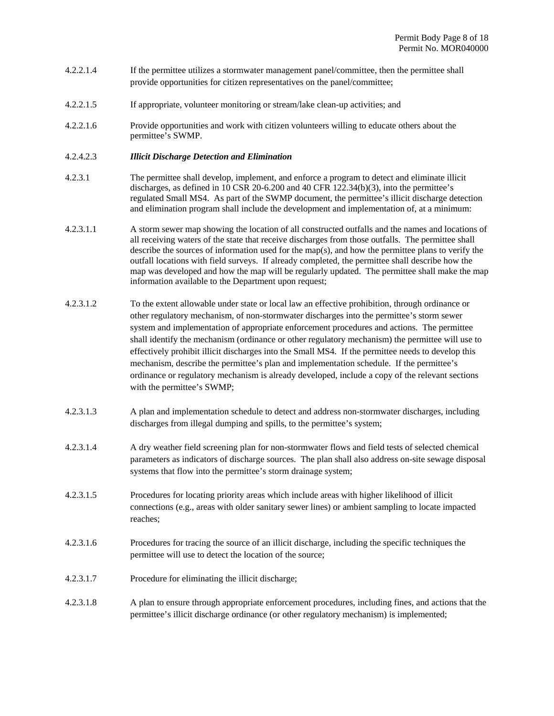- 4.2.2.1.4 If the permittee utilizes a stormwater management panel/committee, then the permittee shall provide opportunities for citizen representatives on the panel/committee;
- 4.2.2.1.5 If appropriate, volunteer monitoring or stream/lake clean-up activities; and
- 4.2.2.1.6 Provide opportunities and work with citizen volunteers willing to educate others about the permittee's SWMP.

#### 4.2.4.2.3 *Illicit Discharge Detection and Elimination*

- 4.2.3.1 The permittee shall develop, implement, and enforce a program to detect and eliminate illicit discharges, as defined in 10 CSR 20-6.200 and 40 CFR 122.34(b)(3), into the permittee's regulated Small MS4. As part of the SWMP document, the permittee's illicit discharge detection and elimination program shall include the development and implementation of, at a minimum:
- 4.2.3.1.1 A storm sewer map showing the location of all constructed outfalls and the names and locations of all receiving waters of the state that receive discharges from those outfalls. The permittee shall describe the sources of information used for the map(s), and how the permittee plans to verify the outfall locations with field surveys. If already completed, the permittee shall describe how the map was developed and how the map will be regularly updated. The permittee shall make the map information available to the Department upon request;
- 4.2.3.1.2 To the extent allowable under state or local law an effective prohibition, through ordinance or other regulatory mechanism, of non-stormwater discharges into the permittee's storm sewer system and implementation of appropriate enforcement procedures and actions. The permittee shall identify the mechanism (ordinance or other regulatory mechanism) the permittee will use to effectively prohibit illicit discharges into the Small MS4. If the permittee needs to develop this mechanism, describe the permittee's plan and implementation schedule. If the permittee's ordinance or regulatory mechanism is already developed, include a copy of the relevant sections with the permittee's SWMP;
- 4.2.3.1.3 A plan and implementation schedule to detect and address non-stormwater discharges, including discharges from illegal dumping and spills, to the permittee's system;
- 4.2.3.1.4 A dry weather field screening plan for non-stormwater flows and field tests of selected chemical parameters as indicators of discharge sources. The plan shall also address on-site sewage disposal systems that flow into the permittee's storm drainage system;
- 4.2.3.1.5 Procedures for locating priority areas which include areas with higher likelihood of illicit connections (e.g., areas with older sanitary sewer lines) or ambient sampling to locate impacted reaches;
- 4.2.3.1.6 Procedures for tracing the source of an illicit discharge, including the specific techniques the permittee will use to detect the location of the source;
- 4.2.3.1.7 Procedure for eliminating the illicit discharge;
- 4.2.3.1.8 A plan to ensure through appropriate enforcement procedures, including fines, and actions that the permittee's illicit discharge ordinance (or other regulatory mechanism) is implemented;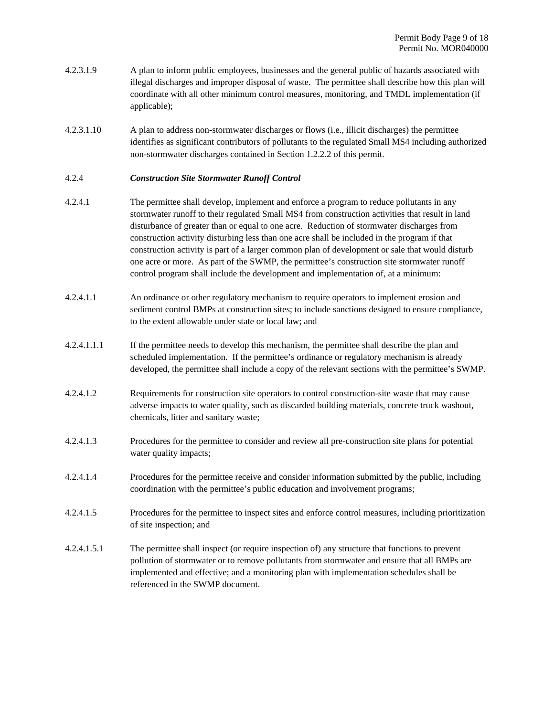- 4.2.3.1.9 A plan to inform public employees, businesses and the general public of hazards associated with illegal discharges and improper disposal of waste. The permittee shall describe how this plan will coordinate with all other minimum control measures, monitoring, and TMDL implementation (if applicable);
- 4.2.3.1.10 A plan to address non-stormwater discharges or flows (i.e., illicit discharges) the permittee identifies as significant contributors of pollutants to the regulated Small MS4 including authorized non-stormwater discharges contained in Section 1.2.2.2 of this permit.

#### 4.2.4 *Construction Site Stormwater Runoff Control*

- 4.2.4.1 The permittee shall develop, implement and enforce a program to reduce pollutants in any stormwater runoff to their regulated Small MS4 from construction activities that result in land disturbance of greater than or equal to one acre. Reduction of stormwater discharges from construction activity disturbing less than one acre shall be included in the program if that construction activity is part of a larger common plan of development or sale that would disturb one acre or more. As part of the SWMP, the permittee's construction site stormwater runoff control program shall include the development and implementation of, at a minimum:
- 4.2.4.1.1 An ordinance or other regulatory mechanism to require operators to implement erosion and sediment control BMPs at construction sites; to include sanctions designed to ensure compliance, to the extent allowable under state or local law; and
- 4.2.4.1.1.1 If the permittee needs to develop this mechanism, the permittee shall describe the plan and scheduled implementation. If the permittee's ordinance or regulatory mechanism is already developed, the permittee shall include a copy of the relevant sections with the permittee's SWMP.
- 4.2.4.1.2 Requirements for construction site operators to control construction-site waste that may cause adverse impacts to water quality, such as discarded building materials, concrete truck washout, chemicals, litter and sanitary waste;
- 4.2.4.1.3 Procedures for the permittee to consider and review all pre-construction site plans for potential water quality impacts;
- 4.2.4.1.4 Procedures for the permittee receive and consider information submitted by the public, including coordination with the permittee's public education and involvement programs;
- 4.2.4.1.5 Procedures for the permittee to inspect sites and enforce control measures, including prioritization of site inspection; and
- 4.2.4.1.5.1 The permittee shall inspect (or require inspection of) any structure that functions to prevent pollution of stormwater or to remove pollutants from stormwater and ensure that all BMPs are implemented and effective; and a monitoring plan with implementation schedules shall be referenced in the SWMP document.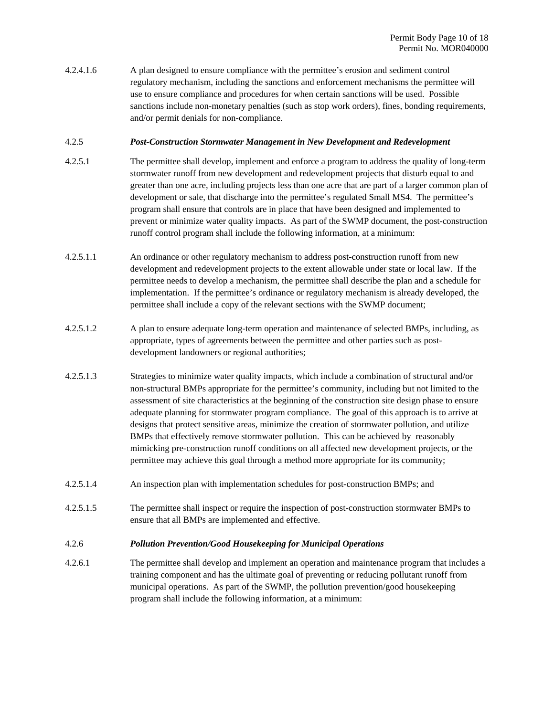4.2.4.1.6 A plan designed to ensure compliance with the permittee's erosion and sediment control regulatory mechanism, including the sanctions and enforcement mechanisms the permittee will use to ensure compliance and procedures for when certain sanctions will be used. Possible sanctions include non-monetary penalties (such as stop work orders), fines, bonding requirements, and/or permit denials for non-compliance.

#### 4.2.5 *Post-Construction Stormwater Management in New Development and Redevelopment*

- 4.2.5.1 The permittee shall develop, implement and enforce a program to address the quality of long-term stormwater runoff from new development and redevelopment projects that disturb equal to and greater than one acre, including projects less than one acre that are part of a larger common plan of development or sale, that discharge into the permittee's regulated Small MS4. The permittee's program shall ensure that controls are in place that have been designed and implemented to prevent or minimize water quality impacts. As part of the SWMP document, the post-construction runoff control program shall include the following information, at a minimum:
- 4.2.5.1.1 An ordinance or other regulatory mechanism to address post-construction runoff from new development and redevelopment projects to the extent allowable under state or local law. If the permittee needs to develop a mechanism, the permittee shall describe the plan and a schedule for implementation. If the permittee's ordinance or regulatory mechanism is already developed, the permittee shall include a copy of the relevant sections with the SWMP document;
- 4.2.5.1.2 A plan to ensure adequate long-term operation and maintenance of selected BMPs, including, as appropriate, types of agreements between the permittee and other parties such as postdevelopment landowners or regional authorities;
- 4.2.5.1.3 Strategies to minimize water quality impacts, which include a combination of structural and/or non-structural BMPs appropriate for the permittee's community, including but not limited to the assessment of site characteristics at the beginning of the construction site design phase to ensure adequate planning for stormwater program compliance. The goal of this approach is to arrive at designs that protect sensitive areas, minimize the creation of stormwater pollution, and utilize BMPs that effectively remove stormwater pollution. This can be achieved by reasonably mimicking pre-construction runoff conditions on all affected new development projects, or the permittee may achieve this goal through a method more appropriate for its community;
- 4.2.5.1.4 An inspection plan with implementation schedules for post-construction BMPs; and
- 4.2.5.1.5 The permittee shall inspect or require the inspection of post-construction stormwater BMPs to ensure that all BMPs are implemented and effective.
- 4.2.6 *Pollution Prevention/Good Housekeeping for Municipal Operations*
- 4.2.6.1 The permittee shall develop and implement an operation and maintenance program that includes a training component and has the ultimate goal of preventing or reducing pollutant runoff from municipal operations. As part of the SWMP, the pollution prevention/good housekeeping program shall include the following information, at a minimum: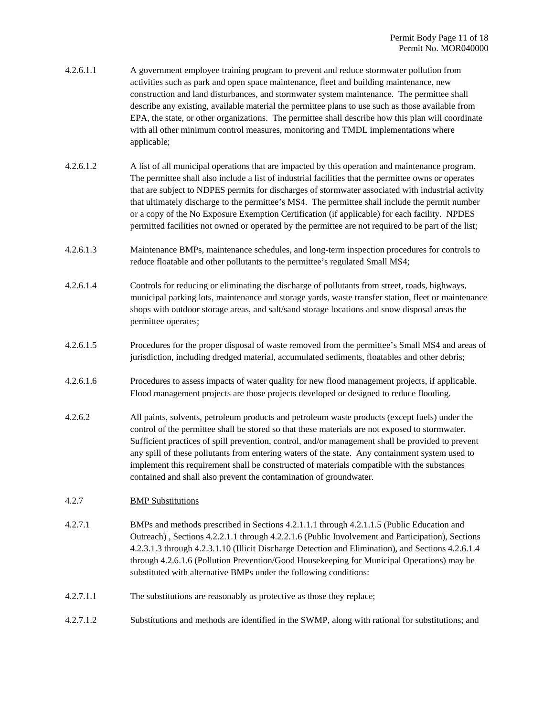- 4.2.6.1.1 A government employee training program to prevent and reduce stormwater pollution from activities such as park and open space maintenance, fleet and building maintenance, new construction and land disturbances, and stormwater system maintenance. The permittee shall describe any existing, available material the permittee plans to use such as those available from EPA, the state, or other organizations. The permittee shall describe how this plan will coordinate with all other minimum control measures, monitoring and TMDL implementations where applicable;
- 4.2.6.1.2 A list of all municipal operations that are impacted by this operation and maintenance program. The permittee shall also include a list of industrial facilities that the permittee owns or operates that are subject to NDPES permits for discharges of stormwater associated with industrial activity that ultimately discharge to the permittee's MS4. The permittee shall include the permit number or a copy of the No Exposure Exemption Certification (if applicable) for each facility. NPDES permitted facilities not owned or operated by the permittee are not required to be part of the list;
- 4.2.6.1.3 Maintenance BMPs, maintenance schedules, and long-term inspection procedures for controls to reduce floatable and other pollutants to the permittee's regulated Small MS4;
- 4.2.6.1.4 Controls for reducing or eliminating the discharge of pollutants from street, roads, highways, municipal parking lots, maintenance and storage yards, waste transfer station, fleet or maintenance shops with outdoor storage areas, and salt/sand storage locations and snow disposal areas the permittee operates;
- 4.2.6.1.5 Procedures for the proper disposal of waste removed from the permittee's Small MS4 and areas of jurisdiction, including dredged material, accumulated sediments, floatables and other debris;
- 4.2.6.1.6 Procedures to assess impacts of water quality for new flood management projects, if applicable. Flood management projects are those projects developed or designed to reduce flooding.
- 4.2.6.2 All paints, solvents, petroleum products and petroleum waste products (except fuels) under the control of the permittee shall be stored so that these materials are not exposed to stormwater. Sufficient practices of spill prevention, control, and/or management shall be provided to prevent any spill of these pollutants from entering waters of the state. Any containment system used to implement this requirement shall be constructed of materials compatible with the substances contained and shall also prevent the contamination of groundwater.

# 4.2.7 BMP Substitutions

- 4.2.7.1 BMPs and methods prescribed in Sections 4.2.1.1.1 through 4.2.1.1.5 (Public Education and Outreach) , Sections 4.2.2.1.1 through 4.2.2.1.6 (Public Involvement and Participation), Sections 4.2.3.1.3 through 4.2.3.1.10 (Illicit Discharge Detection and Elimination), and Sections 4.2.6.1.4 through 4.2.6.1.6 (Pollution Prevention/Good Housekeeping for Municipal Operations) may be substituted with alternative BMPs under the following conditions:
- 4.2.7.1.1 The substitutions are reasonably as protective as those they replace;
- 4.2.7.1.2 Substitutions and methods are identified in the SWMP, along with rational for substitutions; and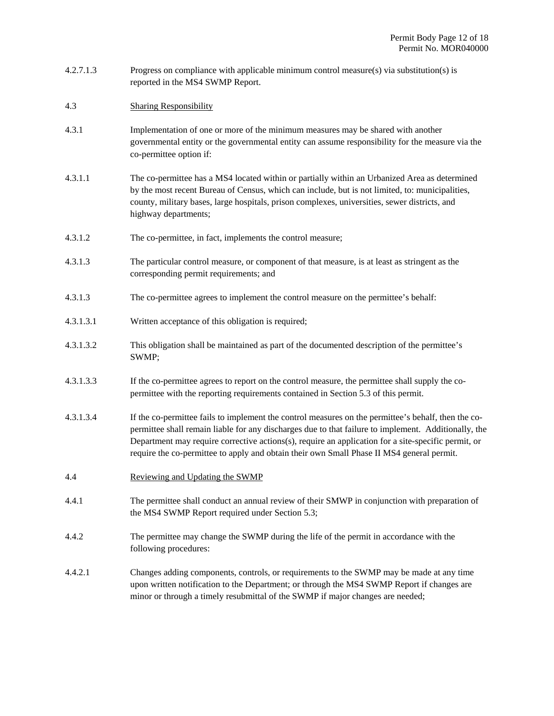- 4.2.7.1.3 Progress on compliance with applicable minimum control measure(s) via substitution(s) is reported in the MS4 SWMP Report.
- 4.3 Sharing Responsibility
- 4.3.1 Implementation of one or more of the minimum measures may be shared with another governmental entity or the governmental entity can assume responsibility for the measure via the co-permittee option if:
- 4.3.1.1 The co-permittee has a MS4 located within or partially within an Urbanized Area as determined by the most recent Bureau of Census, which can include, but is not limited, to: municipalities, county, military bases, large hospitals, prison complexes, universities, sewer districts, and highway departments;
- 4.3.1.2 The co-permittee, in fact, implements the control measure;
- 4.3.1.3 The particular control measure, or component of that measure, is at least as stringent as the corresponding permit requirements; and
- 4.3.1.3 The co-permittee agrees to implement the control measure on the permittee's behalf:
- 4.3.1.3.1 Written acceptance of this obligation is required;
- 4.3.1.3.2 This obligation shall be maintained as part of the documented description of the permittee's SWMP;
- 4.3.1.3.3 If the co-permittee agrees to report on the control measure, the permittee shall supply the copermittee with the reporting requirements contained in Section 5.3 of this permit.
- 4.3.1.3.4 If the co-permittee fails to implement the control measures on the permittee's behalf, then the copermittee shall remain liable for any discharges due to that failure to implement. Additionally, the Department may require corrective actions(s), require an application for a site-specific permit, or require the co-permittee to apply and obtain their own Small Phase II MS4 general permit.
- 4.4 Reviewing and Updating the SWMP
- 4.4.1 The permittee shall conduct an annual review of their SMWP in conjunction with preparation of the MS4 SWMP Report required under Section 5.3;
- 4.4.2 The permittee may change the SWMP during the life of the permit in accordance with the following procedures:
- 4.4.2.1 Changes adding components, controls, or requirements to the SWMP may be made at any time upon written notification to the Department; or through the MS4 SWMP Report if changes are minor or through a timely resubmittal of the SWMP if major changes are needed;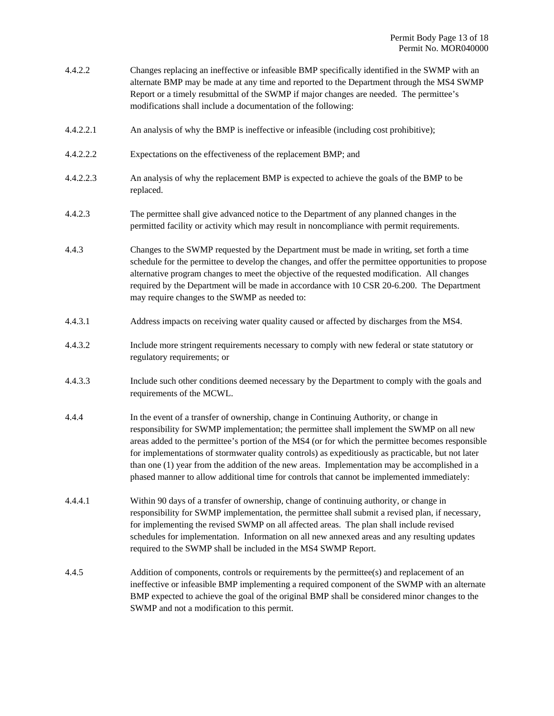- 4.4.2.2 Changes replacing an ineffective or infeasible BMP specifically identified in the SWMP with an alternate BMP may be made at any time and reported to the Department through the MS4 SWMP Report or a timely resubmittal of the SWMP if major changes are needed. The permittee's modifications shall include a documentation of the following:
- 4.4.2.2.1 An analysis of why the BMP is ineffective or infeasible (including cost prohibitive);
- 4.4.2.2.2 Expectations on the effectiveness of the replacement BMP; and
- 4.4.2.2.3 An analysis of why the replacement BMP is expected to achieve the goals of the BMP to be replaced.
- 4.4.2.3 The permittee shall give advanced notice to the Department of any planned changes in the permitted facility or activity which may result in noncompliance with permit requirements.
- 4.4.3 Changes to the SWMP requested by the Department must be made in writing, set forth a time schedule for the permittee to develop the changes, and offer the permittee opportunities to propose alternative program changes to meet the objective of the requested modification. All changes required by the Department will be made in accordance with 10 CSR 20-6.200. The Department may require changes to the SWMP as needed to:
- 4.4.3.1 Address impacts on receiving water quality caused or affected by discharges from the MS4.
- 4.4.3.2 Include more stringent requirements necessary to comply with new federal or state statutory or regulatory requirements; or
- 4.4.3.3 Include such other conditions deemed necessary by the Department to comply with the goals and requirements of the MCWL.
- 4.4.4 In the event of a transfer of ownership, change in Continuing Authority, or change in responsibility for SWMP implementation; the permittee shall implement the SWMP on all new areas added to the permittee's portion of the MS4 (or for which the permittee becomes responsible for implementations of stormwater quality controls) as expeditiously as practicable, but not later than one (1) year from the addition of the new areas. Implementation may be accomplished in a phased manner to allow additional time for controls that cannot be implemented immediately:
- 4.4.4.1 Within 90 days of a transfer of ownership, change of continuing authority, or change in responsibility for SWMP implementation, the permittee shall submit a revised plan, if necessary, for implementing the revised SWMP on all affected areas. The plan shall include revised schedules for implementation. Information on all new annexed areas and any resulting updates required to the SWMP shall be included in the MS4 SWMP Report.
- 4.4.5 Addition of components, controls or requirements by the permittee(s) and replacement of an ineffective or infeasible BMP implementing a required component of the SWMP with an alternate BMP expected to achieve the goal of the original BMP shall be considered minor changes to the SWMP and not a modification to this permit.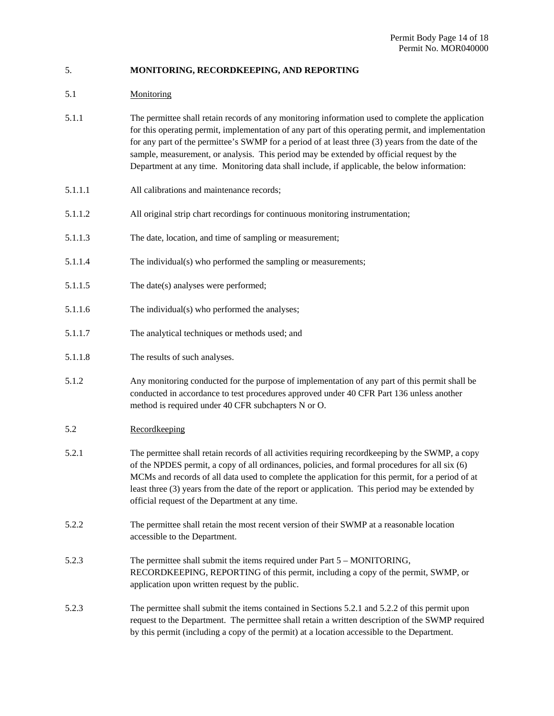# 5. **MONITORING, RECORDKEEPING, AND REPORTING**

# 5.1 Monitoring

| 5.1.1 | The permittee shall retain records of any monitoring information used to complete the application  |
|-------|----------------------------------------------------------------------------------------------------|
|       | for this operating permit, implementation of any part of this operating permit, and implementation |
|       | for any part of the permittee's SWMP for a period of at least three (3) years from the date of the |
|       | sample, measurement, or analysis. This period may be extended by official request by the           |
|       | Department at any time. Monitoring data shall include, if applicable, the below information:       |
|       |                                                                                                    |

- 5.1.1.1 All calibrations and maintenance records;
- 5.1.1.2 All original strip chart recordings for continuous monitoring instrumentation;
- 5.1.1.3 The date, location, and time of sampling or measurement;
- 5.1.1.4 The individual(s) who performed the sampling or measurements;
- 5.1.1.5 The date(s) analyses were performed;
- 5.1.1.6 The individual(s) who performed the analyses;
- 5.1.1.7 The analytical techniques or methods used; and
- 5.1.1.8 The results of such analyses.
- 5.1.2 Any monitoring conducted for the purpose of implementation of any part of this permit shall be conducted in accordance to test procedures approved under 40 CFR Part 136 unless another method is required under 40 CFR subchapters N or O.
- 5.2 Recordkeeping
- 5.2.1 The permittee shall retain records of all activities requiring recordkeeping by the SWMP, a copy of the NPDES permit, a copy of all ordinances, policies, and formal procedures for all six (6) MCMs and records of all data used to complete the application for this permit, for a period of at least three (3) years from the date of the report or application. This period may be extended by official request of the Department at any time.
- 5.2.2 The permittee shall retain the most recent version of their SWMP at a reasonable location accessible to the Department.
- 5.2.3 The permittee shall submit the items required under Part 5 MONITORING, RECORDKEEPING, REPORTING of this permit, including a copy of the permit, SWMP, or application upon written request by the public.
- 5.2.3 The permittee shall submit the items contained in Sections 5.2.1 and 5.2.2 of this permit upon request to the Department. The permittee shall retain a written description of the SWMP required by this permit (including a copy of the permit) at a location accessible to the Department.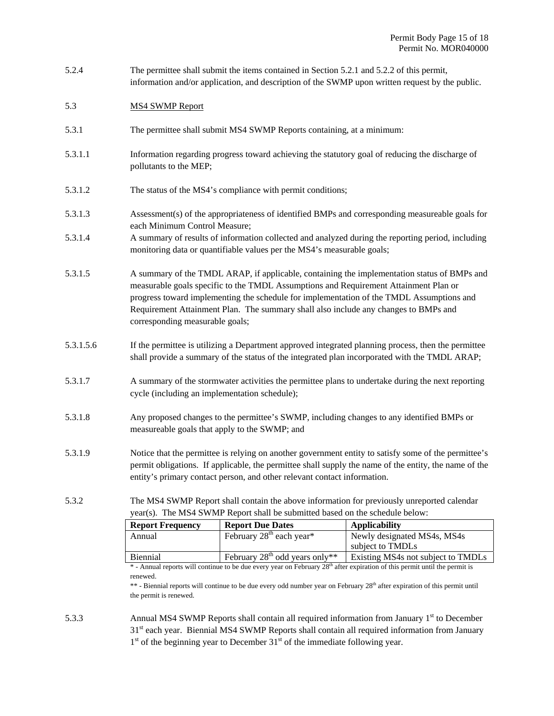| 5.2.4 | The permittee shall submit the items contained in Section 5.2.1 and 5.2.2 of this permit,       |
|-------|-------------------------------------------------------------------------------------------------|
|       | information and/or application, and description of the SWMP upon written request by the public. |

#### 5.3 MS4 SWMP Report

- 5.3.1 The permittee shall submit MS4 SWMP Reports containing, at a minimum:
- 5.3.1.1 Information regarding progress toward achieving the statutory goal of reducing the discharge of pollutants to the MEP;
- 5.3.1.2 The status of the MS4's compliance with permit conditions;
- 5.3.1.3 Assessment(s) of the appropriateness of identified BMPs and corresponding measureable goals for each Minimum Control Measure;
- 5.3.1.4 A summary of results of information collected and analyzed during the reporting period, including monitoring data or quantifiable values per the MS4's measurable goals;
- 5.3.1.5 A summary of the TMDL ARAP, if applicable, containing the implementation status of BMPs and measurable goals specific to the TMDL Assumptions and Requirement Attainment Plan or progress toward implementing the schedule for implementation of the TMDL Assumptions and Requirement Attainment Plan. The summary shall also include any changes to BMPs and corresponding measurable goals;
- 5.3.1.5.6 If the permittee is utilizing a Department approved integrated planning process, then the permittee shall provide a summary of the status of the integrated plan incorporated with the TMDL ARAP;
- 5.3.1.7 A summary of the stormwater activities the permittee plans to undertake during the next reporting cycle (including an implementation schedule);
- 5.3.1.8 Any proposed changes to the permittee's SWMP, including changes to any identified BMPs or measureable goals that apply to the SWMP; and
- 5.3.1.9 Notice that the permittee is relying on another government entity to satisfy some of the permittee's permit obligations. If applicable, the permittee shall supply the name of the entity, the name of the entity's primary contact person, and other relevant contact information.
- 5.3.2 The MS4 SWMP Report shall contain the above information for previously unreported calendar year(s). The MS4 SWMP Report shall be submitted based on the schedule below:

| <b>Report Frequency</b>                                                                                                                | <b>Report Due Dates</b>                | <b>Applicability</b>               |  |
|----------------------------------------------------------------------------------------------------------------------------------------|----------------------------------------|------------------------------------|--|
| Annual                                                                                                                                 | February $28th$ each year <sup>*</sup> | Newly designated MS4s, MS4s        |  |
|                                                                                                                                        |                                        | subject to TMDLs                   |  |
| Biennial                                                                                                                               | February $28^{th}$ odd years only**    | Existing MS4s not subject to TMDLs |  |
| $*$ Annual reports will continue to be due event year on Echniquy 20 <sup>th</sup> efter expiration of this permit until the permit is |                                        |                                    |  |

- Annual reports will continue to be due every year on February  $28<sup>m</sup>$  after expiration of this permit until the permit is renewed.

\*\* - Biennial reports will continue to be due every odd number year on February 28<sup>th</sup> after expiration of this permit until the permit is renewed.

5.3.3 Annual MS4 SWMP Reports shall contain all required information from January 1st to December 31<sup>st</sup> each year. Biennial MS4 SWMP Reports shall contain all required information from January  $1<sup>st</sup>$  of the beginning year to December 31 $<sup>st</sup>$  of the immediate following year.</sup>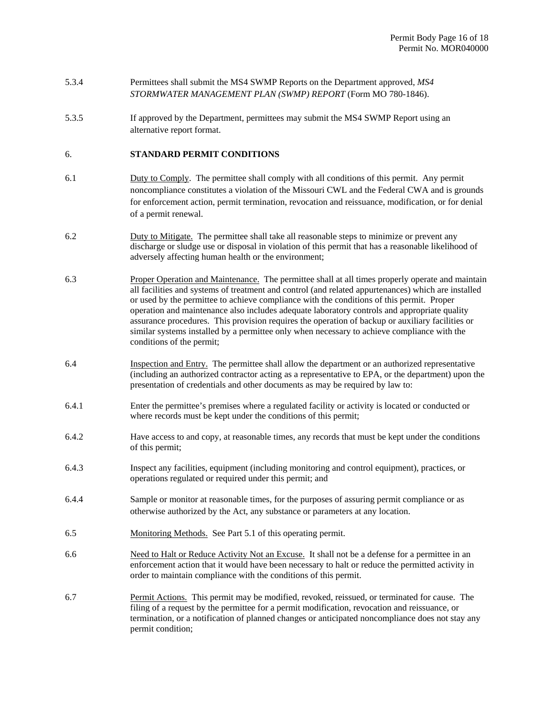- 5.3.4 Permittees shall submit the MS4 SWMP Reports on the Department approved, *MS4 STORMWATER MANAGEMENT PLAN (SWMP) REPORT* (Form MO 780-1846).
- 5.3.5 If approved by the Department, permittees may submit the MS4 SWMP Report using an alternative report format.

# 6. **STANDARD PERMIT CONDITIONS**

- 6.1 Duty to Comply. The permittee shall comply with all conditions of this permit. Any permit noncompliance constitutes a violation of the Missouri CWL and the Federal CWA and is grounds for enforcement action, permit termination, revocation and reissuance, modification, or for denial of a permit renewal.
- 6.2 Duty to Mitigate. The permittee shall take all reasonable steps to minimize or prevent any discharge or sludge use or disposal in violation of this permit that has a reasonable likelihood of adversely affecting human health or the environment;
- 6.3 Proper Operation and Maintenance. The permittee shall at all times properly operate and maintain all facilities and systems of treatment and control (and related appurtenances) which are installed or used by the permittee to achieve compliance with the conditions of this permit. Proper operation and maintenance also includes adequate laboratory controls and appropriate quality assurance procedures. This provision requires the operation of backup or auxiliary facilities or similar systems installed by a permittee only when necessary to achieve compliance with the conditions of the permit;
- 6.4 Inspection and Entry. The permittee shall allow the department or an authorized representative (including an authorized contractor acting as a representative to EPA, or the department) upon the presentation of credentials and other documents as may be required by law to:
- 6.4.1 Enter the permittee's premises where a regulated facility or activity is located or conducted or where records must be kept under the conditions of this permit;
- 6.4.2 Have access to and copy, at reasonable times, any records that must be kept under the conditions of this permit;
- 6.4.3 Inspect any facilities, equipment (including monitoring and control equipment), practices, or operations regulated or required under this permit; and
- 6.4.4 Sample or monitor at reasonable times, for the purposes of assuring permit compliance or as otherwise authorized by the Act, any substance or parameters at any location.
- 6.5 Monitoring Methods. See Part 5.1 of this operating permit.
- 6.6 Need to Halt or Reduce Activity Not an Excuse. It shall not be a defense for a permittee in an enforcement action that it would have been necessary to halt or reduce the permitted activity in order to maintain compliance with the conditions of this permit.
- 6.7 Permit Actions. This permit may be modified, revoked, reissued, or terminated for cause. The filing of a request by the permittee for a permit modification, revocation and reissuance, or termination, or a notification of planned changes or anticipated noncompliance does not stay any permit condition;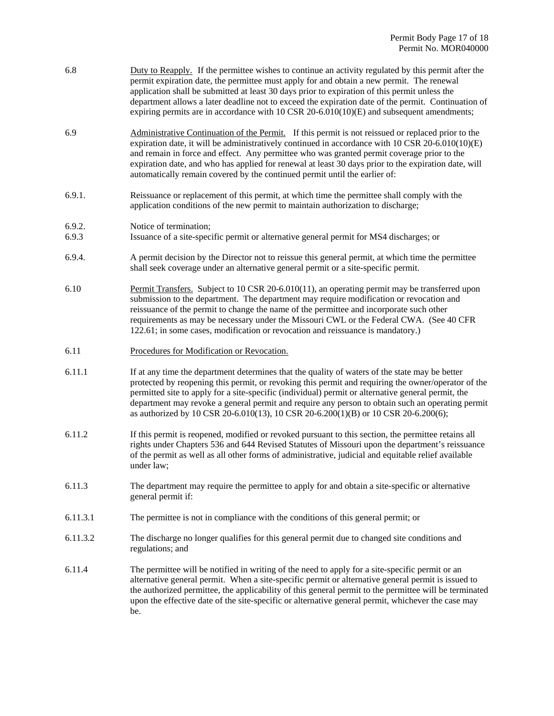| 6.8 | Duty to Reapply. If the permittee wishes to continue an activity regulated by this permit after the |
|-----|-----------------------------------------------------------------------------------------------------|
|     | permit expiration date, the permittee must apply for and obtain a new permit. The renewal           |
|     | application shall be submitted at least 30 days prior to expiration of this permit unless the       |
|     | department allows a later deadline not to exceed the expiration date of the permit. Continuation of |
|     | expiring permits are in accordance with 10 CSR 20-6.010(10)(E) and subsequent amendments;           |
|     |                                                                                                     |

- 6.9 Administrative Continuation of the Permit. If this permit is not reissued or replaced prior to the expiration date, it will be administratively continued in accordance with 10 CSR 20-6.010(10)(E) and remain in force and effect. Any permittee who was granted permit coverage prior to the expiration date, and who has applied for renewal at least 30 days prior to the expiration date, will automatically remain covered by the continued permit until the earlier of:
- 6.9.1. Reissuance or replacement of this permit, at which time the permittee shall comply with the application conditions of the new permit to maintain authorization to discharge;
- 6.9.2. Notice of termination;
- 6.9.3 Issuance of a site-specific permit or alternative general permit for MS4 discharges; or
- 6.9.4. A permit decision by the Director not to reissue this general permit, at which time the permittee shall seek coverage under an alternative general permit or a site-specific permit.
- 6.10 Permit Transfers. Subject to 10 CSR 20-6.010(11), an operating permit may be transferred upon submission to the department. The department may require modification or revocation and reissuance of the permit to change the name of the permittee and incorporate such other requirements as may be necessary under the Missouri CWL or the Federal CWA. (See 40 CFR 122.61; in some cases, modification or revocation and reissuance is mandatory.)
- 6.11 Procedures for Modification or Revocation.
- 6.11.1 If at any time the department determines that the quality of waters of the state may be better protected by reopening this permit, or revoking this permit and requiring the owner/operator of the permitted site to apply for a site-specific (individual) permit or alternative general permit, the department may revoke a general permit and require any person to obtain such an operating permit as authorized by 10 CSR 20-6.010(13), 10 CSR 20-6.200(1)(B) or 10 CSR 20-6.200(6);
- 6.11.2 If this permit is reopened, modified or revoked pursuant to this section, the permittee retains all rights under Chapters 536 and 644 Revised Statutes of Missouri upon the department's reissuance of the permit as well as all other forms of administrative, judicial and equitable relief available under law;
- 6.11.3 The department may require the permittee to apply for and obtain a site-specific or alternative general permit if:
- 6.11.3.1 The permittee is not in compliance with the conditions of this general permit; or
- 6.11.3.2 The discharge no longer qualifies for this general permit due to changed site conditions and regulations; and
- 6.11.4 The permittee will be notified in writing of the need to apply for a site-specific permit or an alternative general permit. When a site-specific permit or alternative general permit is issued to the authorized permittee, the applicability of this general permit to the permittee will be terminated upon the effective date of the site-specific or alternative general permit, whichever the case may be.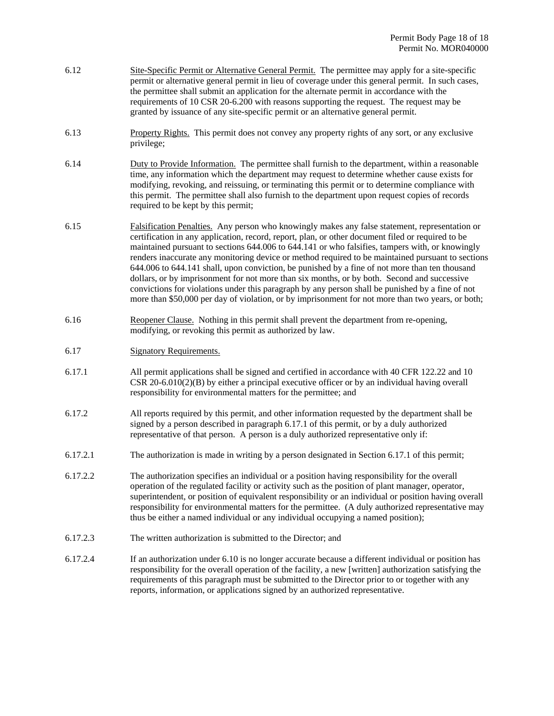- 6.12 Site-Specific Permit or Alternative General Permit. The permittee may apply for a site-specific permit or alternative general permit in lieu of coverage under this general permit. In such cases, the permittee shall submit an application for the alternate permit in accordance with the requirements of 10 CSR 20-6.200 with reasons supporting the request. The request may be granted by issuance of any site-specific permit or an alternative general permit.
- 6.13 Property Rights. This permit does not convey any property rights of any sort, or any exclusive privilege;
- 6.14 Duty to Provide Information. The permittee shall furnish to the department, within a reasonable time, any information which the department may request to determine whether cause exists for modifying, revoking, and reissuing, or terminating this permit or to determine compliance with this permit. The permittee shall also furnish to the department upon request copies of records required to be kept by this permit;
- 6.15 Falsification Penalties. Any person who knowingly makes any false statement, representation or certification in any application, record, report, plan, or other document filed or required to be maintained pursuant to sections 644.006 to 644.141 or who falsifies, tampers with, or knowingly renders inaccurate any monitoring device or method required to be maintained pursuant to sections 644.006 to 644.141 shall, upon conviction, be punished by a fine of not more than ten thousand dollars, or by imprisonment for not more than six months, or by both. Second and successive convictions for violations under this paragraph by any person shall be punished by a fine of not more than \$50,000 per day of violation, or by imprisonment for not more than two years, or both;
- 6.16 Reopener Clause. Nothing in this permit shall prevent the department from re-opening, modifying, or revoking this permit as authorized by law.
- 6.17 Signatory Requirements.
- 6.17.1 All permit applications shall be signed and certified in accordance with 40 CFR 122.22 and 10 CSR 20-6.010(2)(B) by either a principal executive officer or by an individual having overall responsibility for environmental matters for the permittee; and
- 6.17.2 All reports required by this permit, and other information requested by the department shall be signed by a person described in paragraph 6.17.1 of this permit, or by a duly authorized representative of that person. A person is a duly authorized representative only if:
- 6.17.2.1 The authorization is made in writing by a person designated in Section 6.17.1 of this permit;
- 6.17.2.2 The authorization specifies an individual or a position having responsibility for the overall operation of the regulated facility or activity such as the position of plant manager, operator, superintendent, or position of equivalent responsibility or an individual or position having overall responsibility for environmental matters for the permittee. (A duly authorized representative may thus be either a named individual or any individual occupying a named position);
- 6.17.2.3 The written authorization is submitted to the Director; and
- 6.17.2.4 If an authorization under 6.10 is no longer accurate because a different individual or position has responsibility for the overall operation of the facility, a new [written] authorization satisfying the requirements of this paragraph must be submitted to the Director prior to or together with any reports, information, or applications signed by an authorized representative.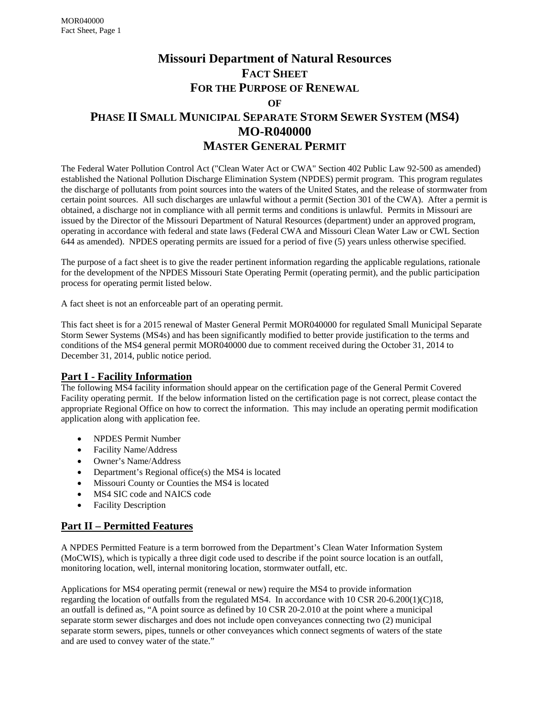# **Missouri Department of Natural Resources FACT SHEET FOR THE PURPOSE OF RENEWAL OF**

# **PHASE II SMALL MUNICIPAL SEPARATE STORM SEWER SYSTEM (MS4) MO-R040000 MASTER GENERAL PERMIT**

The Federal Water Pollution Control Act ("Clean Water Act or CWA" Section 402 Public Law 92-500 as amended) established the National Pollution Discharge Elimination System (NPDES) permit program. This program regulates the discharge of pollutants from point sources into the waters of the United States, and the release of stormwater from certain point sources. All such discharges are unlawful without a permit (Section 301 of the CWA). After a permit is obtained, a discharge not in compliance with all permit terms and conditions is unlawful. Permits in Missouri are issued by the Director of the Missouri Department of Natural Resources (department) under an approved program, operating in accordance with federal and state laws (Federal CWA and Missouri Clean Water Law or CWL Section 644 as amended). NPDES operating permits are issued for a period of five (5) years unless otherwise specified.

The purpose of a fact sheet is to give the reader pertinent information regarding the applicable regulations, rationale for the development of the NPDES Missouri State Operating Permit (operating permit), and the public participation process for operating permit listed below.

A fact sheet is not an enforceable part of an operating permit.

This fact sheet is for a 2015 renewal of Master General Permit MOR040000 for regulated Small Municipal Separate Storm Sewer Systems (MS4s) and has been significantly modified to better provide justification to the terms and conditions of the MS4 general permit MOR040000 due to comment received during the October 31, 2014 to December 31, 2014, public notice period.

# **Part I - Facility Information**

The following MS4 facility information should appear on the certification page of the General Permit Covered Facility operating permit. If the below information listed on the certification page is not correct, please contact the appropriate Regional Office on how to correct the information. This may include an operating permit modification application along with application fee.

- NPDES Permit Number
- Facility Name/Address
- Owner's Name/Address
- Department's Regional office(s) the MS4 is located
- Missouri County or Counties the MS4 is located
- MS4 SIC code and NAICS code
- Facility Description

# **Part II – Permitted Features**

A NPDES Permitted Feature is a term borrowed from the Department's Clean Water Information System (MoCWIS), which is typically a three digit code used to describe if the point source location is an outfall, monitoring location, well, internal monitoring location, stormwater outfall, etc.

Applications for MS4 operating permit (renewal or new) require the MS4 to provide information regarding the location of outfalls from the regulated MS4. In accordance with 10 CSR 20-6.200(1)(C)18, an outfall is defined as, "A point source as defined by 10 CSR 20-2.010 at the point where a municipal separate storm sewer discharges and does not include open conveyances connecting two (2) municipal separate storm sewers, pipes, tunnels or other conveyances which connect segments of waters of the state and are used to convey water of the state."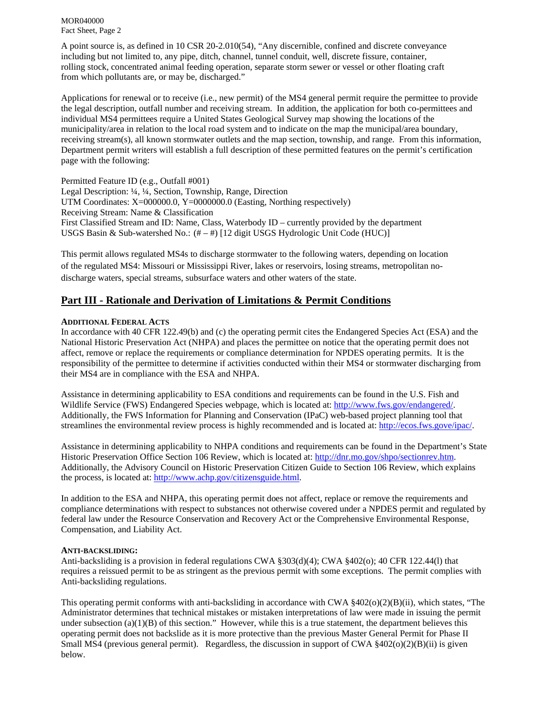A point source is, as defined in 10 CSR 20-2.010(54), "Any discernible, confined and discrete conveyance including but not limited to, any pipe, ditch, channel, tunnel conduit, well, discrete fissure, container, rolling stock, concentrated animal feeding operation, separate storm sewer or vessel or other floating craft from which pollutants are, or may be, discharged."

Applications for renewal or to receive (i.e., new permit) of the MS4 general permit require the permittee to provide the legal description, outfall number and receiving stream. In addition, the application for both co-permittees and individual MS4 permittees require a United States Geological Survey map showing the locations of the municipality/area in relation to the local road system and to indicate on the map the municipal/area boundary, receiving stream(s), all known stormwater outlets and the map section, township, and range. From this information, Department permit writers will establish a full description of these permitted features on the permit's certification page with the following:

Permitted Feature ID (e.g., Outfall #001) Legal Description: ¼, ¼, Section, Township, Range, Direction UTM Coordinates: X=000000.0, Y=0000000.0 (Easting, Northing respectively) Receiving Stream: Name & Classification First Classified Stream and ID: Name, Class, Waterbody ID – currently provided by the department USGS Basin & Sub-watershed No.: (# – #) [12 digit USGS Hydrologic Unit Code (HUC)]

This permit allows regulated MS4s to discharge stormwater to the following waters, depending on location of the regulated MS4: Missouri or Mississippi River, lakes or reservoirs, losing streams, metropolitan nodischarge waters, special streams, subsurface waters and other waters of the state.

# **Part III - Rationale and Derivation of Limitations & Permit Conditions**

#### **ADDITIONAL FEDERAL ACTS**

In accordance with 40 CFR 122.49(b) and (c) the operating permit cites the Endangered Species Act (ESA) and the National Historic Preservation Act (NHPA) and places the permittee on notice that the operating permit does not affect, remove or replace the requirements or compliance determination for NPDES operating permits. It is the responsibility of the permittee to determine if activities conducted within their MS4 or stormwater discharging from their MS4 are in compliance with the ESA and NHPA.

Assistance in determining applicability to ESA conditions and requirements can be found in the U.S. Fish and Wildlife Service (FWS) Endangered Species webpage, which is located at: http://www.fws.gov/endangered/. Additionally, the FWS Information for Planning and Conservation (IPaC) web-based project planning tool that streamlines the environmental review process is highly recommended and is located at: http://ecos.fws.gove/ipac/.

Assistance in determining applicability to NHPA conditions and requirements can be found in the Department's State Historic Preservation Office Section 106 Review, which is located at: http://dnr.mo.gov/shpo/sectionrev.htm. Additionally, the Advisory Council on Historic Preservation Citizen Guide to Section 106 Review, which explains the process, is located at: http://www.achp.gov/citizensguide.html.

In addition to the ESA and NHPA, this operating permit does not affect, replace or remove the requirements and compliance determinations with respect to substances not otherwise covered under a NPDES permit and regulated by federal law under the Resource Conservation and Recovery Act or the Comprehensive Environmental Response, Compensation, and Liability Act.

#### **ANTI-BACKSLIDING:**

Anti-backsliding is a provision in federal regulations CWA §303(d)(4); CWA §402(o); 40 CFR 122.44(l) that requires a reissued permit to be as stringent as the previous permit with some exceptions. The permit complies with Anti-backsliding regulations.

This operating permit conforms with anti-backsliding in accordance with CWA  $\frac{8402(o)(2)(B)(ii)}{2(b)(B)(ii)}$ , which states, "The Administrator determines that technical mistakes or mistaken interpretations of law were made in issuing the permit under subsection (a)(1)(B) of this section." However, while this is a true statement, the department believes this operating permit does not backslide as it is more protective than the previous Master General Permit for Phase II Small MS4 (previous general permit). Regardless, the discussion in support of CWA  $\S402(0)(2)(B)(ii)$  is given below.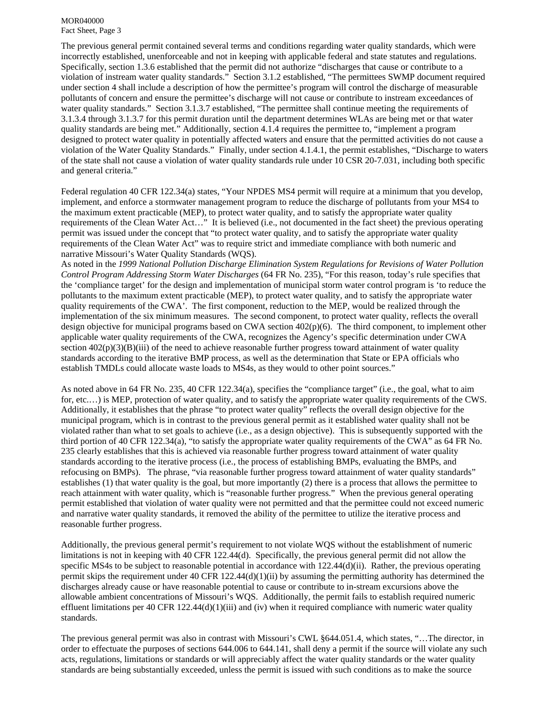The previous general permit contained several terms and conditions regarding water quality standards, which were incorrectly established, unenforceable and not in keeping with applicable federal and state statutes and regulations. Specifically, section 1.3.6 established that the permit did not authorize "discharges that cause or contribute to a violation of instream water quality standards." Section 3.1.2 established, "The permittees SWMP document required under section 4 shall include a description of how the permittee's program will control the discharge of measurable pollutants of concern and ensure the permittee's discharge will not cause or contribute to instream exceedances of water quality standards." Section 3.1.3.7 established, "The permittee shall continue meeting the requirements of 3.1.3.4 through 3.1.3.7 for this permit duration until the department determines WLAs are being met or that water quality standards are being met." Additionally, section 4.1.4 requires the permittee to, "implement a program designed to protect water quality in potentially affected waters and ensure that the permitted activities do not cause a violation of the Water Quality Standards." Finally, under section 4.1.4.1, the permit establishes, "Discharge to waters of the state shall not cause a violation of water quality standards rule under 10 CSR 20-7.031, including both specific and general criteria."

Federal regulation 40 CFR 122.34(a) states, "Your NPDES MS4 permit will require at a minimum that you develop, implement, and enforce a stormwater management program to reduce the discharge of pollutants from your MS4 to the maximum extent practicable (MEP), to protect water quality, and to satisfy the appropriate water quality requirements of the Clean Water Act…" It is believed (i.e., not documented in the fact sheet) the previous operating permit was issued under the concept that "to protect water quality, and to satisfy the appropriate water quality requirements of the Clean Water Act" was to require strict and immediate compliance with both numeric and narrative Missouri's Water Quality Standards (WQS).

As noted in the *1999 National Pollution Discharge Elimination System Regulations for Revisions of Water Pollution Control Program Addressing Storm Water Discharges* (64 FR No. 235), "For this reason, today's rule specifies that the 'compliance target' for the design and implementation of municipal storm water control program is 'to reduce the pollutants to the maximum extent practicable (MEP), to protect water quality, and to satisfy the appropriate water quality requirements of the CWA'. The first component, reduction to the MEP, would be realized through the implementation of the six minimum measures. The second component, to protect water quality, reflects the overall design objective for municipal programs based on CWA section 402(p)(6). The third component, to implement other applicable water quality requirements of the CWA, recognizes the Agency's specific determination under CWA section  $402(p)(3)(B)(iii)$  of the need to achieve reasonable further progress toward attainment of water quality standards according to the iterative BMP process, as well as the determination that State or EPA officials who establish TMDLs could allocate waste loads to MS4s, as they would to other point sources."

As noted above in 64 FR No. 235, 40 CFR 122.34(a), specifies the "compliance target" (i.e., the goal, what to aim for, etc.…) is MEP, protection of water quality, and to satisfy the appropriate water quality requirements of the CWS. Additionally, it establishes that the phrase "to protect water quality" reflects the overall design objective for the municipal program, which is in contrast to the previous general permit as it established water quality shall not be violated rather than what to set goals to achieve (i.e., as a design objective). This is subsequently supported with the third portion of 40 CFR 122.34(a), "to satisfy the appropriate water quality requirements of the CWA" as 64 FR No. 235 clearly establishes that this is achieved via reasonable further progress toward attainment of water quality standards according to the iterative process (i.e., the process of establishing BMPs, evaluating the BMPs, and refocusing on BMPs). The phrase, "via reasonable further progress toward attainment of water quality standards" establishes (1) that water quality is the goal, but more importantly (2) there is a process that allows the permittee to reach attainment with water quality, which is "reasonable further progress." When the previous general operating permit established that violation of water quality were not permitted and that the permittee could not exceed numeric and narrative water quality standards, it removed the ability of the permittee to utilize the iterative process and reasonable further progress.

Additionally, the previous general permit's requirement to not violate WQS without the establishment of numeric limitations is not in keeping with 40 CFR 122.44(d). Specifically, the previous general permit did not allow the specific MS4s to be subject to reasonable potential in accordance with 122.44(d)(ii). Rather, the previous operating permit skips the requirement under 40 CFR 122.44(d)(1)(ii) by assuming the permitting authority has determined the discharges already cause or have reasonable potential to cause or contribute to in-stream excursions above the allowable ambient concentrations of Missouri's WQS. Additionally, the permit fails to establish required numeric effluent limitations per 40 CFR  $122.44(d)(1)(iii)$  and  $(iv)$  when it required compliance with numeric water quality standards.

The previous general permit was also in contrast with Missouri's CWL §644.051.4, which states, "…The director, in order to effectuate the purposes of sections 644.006 to 644.141, shall deny a permit if the source will violate any such acts, regulations, limitations or standards or will appreciably affect the water quality standards or the water quality standards are being substantially exceeded, unless the permit is issued with such conditions as to make the source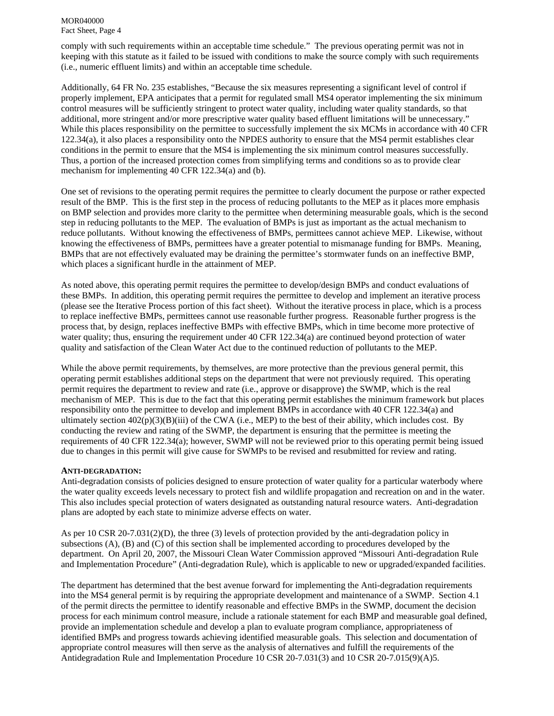comply with such requirements within an acceptable time schedule." The previous operating permit was not in keeping with this statute as it failed to be issued with conditions to make the source comply with such requirements (i.e., numeric effluent limits) and within an acceptable time schedule.

Additionally, 64 FR No. 235 establishes, "Because the six measures representing a significant level of control if properly implement, EPA anticipates that a permit for regulated small MS4 operator implementing the six minimum control measures will be sufficiently stringent to protect water quality, including water quality standards, so that additional, more stringent and/or more prescriptive water quality based effluent limitations will be unnecessary." While this places responsibility on the permittee to successfully implement the six MCMs in accordance with 40 CFR 122.34(a), it also places a responsibility onto the NPDES authority to ensure that the MS4 permit establishes clear conditions in the permit to ensure that the MS4 is implementing the six minimum control measures successfully. Thus, a portion of the increased protection comes from simplifying terms and conditions so as to provide clear mechanism for implementing 40 CFR 122.34(a) and (b).

One set of revisions to the operating permit requires the permittee to clearly document the purpose or rather expected result of the BMP. This is the first step in the process of reducing pollutants to the MEP as it places more emphasis on BMP selection and provides more clarity to the permittee when determining measurable goals, which is the second step in reducing pollutants to the MEP. The evaluation of BMPs is just as important as the actual mechanism to reduce pollutants. Without knowing the effectiveness of BMPs, permittees cannot achieve MEP. Likewise, without knowing the effectiveness of BMPs, permittees have a greater potential to mismanage funding for BMPs. Meaning, BMPs that are not effectively evaluated may be draining the permittee's stormwater funds on an ineffective BMP, which places a significant hurdle in the attainment of MEP.

As noted above, this operating permit requires the permittee to develop/design BMPs and conduct evaluations of these BMPs. In addition, this operating permit requires the permittee to develop and implement an iterative process (please see the Iterative Process portion of this fact sheet). Without the iterative process in place, which is a process to replace ineffective BMPs, permittees cannot use reasonable further progress. Reasonable further progress is the process that, by design, replaces ineffective BMPs with effective BMPs, which in time become more protective of water quality; thus, ensuring the requirement under 40 CFR 122.34(a) are continued beyond protection of water quality and satisfaction of the Clean Water Act due to the continued reduction of pollutants to the MEP.

While the above permit requirements, by themselves, are more protective than the previous general permit, this operating permit establishes additional steps on the department that were not previously required. This operating permit requires the department to review and rate (i.e., approve or disapprove) the SWMP, which is the real mechanism of MEP. This is due to the fact that this operating permit establishes the minimum framework but places responsibility onto the permittee to develop and implement BMPs in accordance with 40 CFR 122.34(a) and ultimately section  $402(p)(3)(B)(iii)$  of the CWA (i.e., MEP) to the best of their ability, which includes cost. By conducting the review and rating of the SWMP, the department is ensuring that the permittee is meeting the requirements of 40 CFR 122.34(a); however, SWMP will not be reviewed prior to this operating permit being issued due to changes in this permit will give cause for SWMPs to be revised and resubmitted for review and rating.

#### **ANTI-DEGRADATION:**

Anti-degradation consists of policies designed to ensure protection of water quality for a particular waterbody where the water quality exceeds levels necessary to protect fish and wildlife propagation and recreation on and in the water. This also includes special protection of waters designated as outstanding natural resource waters. Anti-degradation plans are adopted by each state to minimize adverse effects on water.

As per 10 CSR 20-7.031(2)(D), the three (3) levels of protection provided by the anti-degradation policy in subsections (A), (B) and (C) of this section shall be implemented according to procedures developed by the department. On April 20, 2007, the Missouri Clean Water Commission approved "Missouri Anti-degradation Rule and Implementation Procedure" (Anti-degradation Rule), which is applicable to new or upgraded/expanded facilities.

The department has determined that the best avenue forward for implementing the Anti-degradation requirements into the MS4 general permit is by requiring the appropriate development and maintenance of a SWMP. Section 4.1 of the permit directs the permittee to identify reasonable and effective BMPs in the SWMP, document the decision process for each minimum control measure, include a rationale statement for each BMP and measurable goal defined, provide an implementation schedule and develop a plan to evaluate program compliance, appropriateness of identified BMPs and progress towards achieving identified measurable goals. This selection and documentation of appropriate control measures will then serve as the analysis of alternatives and fulfill the requirements of the Antidegradation Rule and Implementation Procedure 10 CSR 20-7.031(3) and 10 CSR 20-7.015(9)(A)5.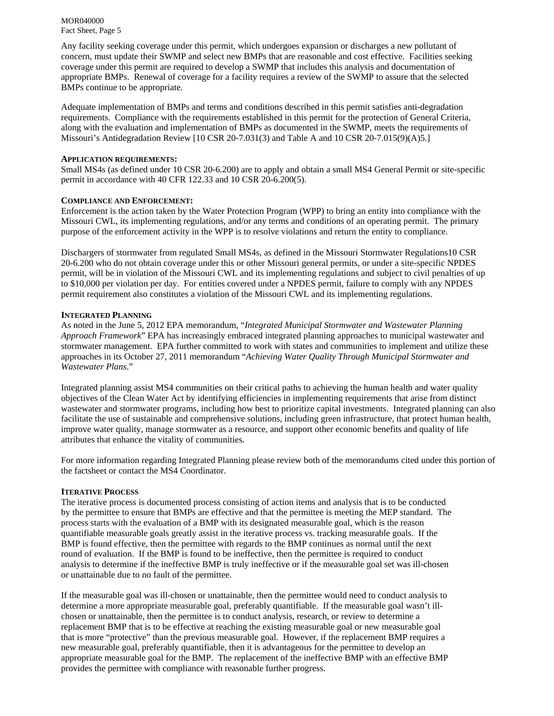Any facility seeking coverage under this permit, which undergoes expansion or discharges a new pollutant of concern, must update their SWMP and select new BMPs that are reasonable and cost effective. Facilities seeking coverage under this permit are required to develop a SWMP that includes this analysis and documentation of appropriate BMPs. Renewal of coverage for a facility requires a review of the SWMP to assure that the selected BMPs continue to be appropriate.

Adequate implementation of BMPs and terms and conditions described in this permit satisfies anti-degradation requirements. Compliance with the requirements established in this permit for the protection of General Criteria, along with the evaluation and implementation of BMPs as documented in the SWMP, meets the requirements of Missouri's Antidegradation Review [10 CSR 20-7.031(3) and Table A and 10 CSR 20-7.015(9)(A)5.]

#### **APPLICATION REQUIREMENTS:**

Small MS4s (as defined under 10 CSR 20-6.200) are to apply and obtain a small MS4 General Permit or site-specific permit in accordance with 40 CFR 122.33 and 10 CSR 20-6.200(5).

#### **COMPLIANCE AND ENFORCEMENT:**

Enforcement is the action taken by the Water Protection Program (WPP) to bring an entity into compliance with the Missouri CWL, its implementing regulations, and/or any terms and conditions of an operating permit. The primary purpose of the enforcement activity in the WPP is to resolve violations and return the entity to compliance.

Dischargers of stormwater from regulated Small MS4s, as defined in the Missouri Stormwater Regulations10 CSR 20-6.200 who do not obtain coverage under this or other Missouri general permits, or under a site-specific NPDES permit, will be in violation of the Missouri CWL and its implementing regulations and subject to civil penalties of up to \$10,000 per violation per day. For entities covered under a NPDES permit, failure to comply with any NPDES permit requirement also constitutes a violation of the Missouri CWL and its implementing regulations.

#### **INTEGRATED PLANNING**

As noted in the June 5, 2012 EPA memorandum, "*Integrated Municipal Stormwater and Wastewater Planning Approach Framework*" EPA has increasingly embraced integrated planning approaches to municipal wastewater and stormwater management. EPA further committed to work with states and communities to implement and utilize these approaches in its October 27, 2011 memorandum "*Achieving Water Quality Through Municipal Stormwater and Wastewater Plans*."

Integrated planning assist MS4 communities on their critical paths to achieving the human health and water quality objectives of the Clean Water Act by identifying efficiencies in implementing requirements that arise from distinct wastewater and stormwater programs, including how best to prioritize capital investments. Integrated planning can also facilitate the use of sustainable and comprehensive solutions, including green infrastructure, that protect human health, improve water quality, manage stormwater as a resource, and support other economic benefits and quality of life attributes that enhance the vitality of communities.

For more information regarding Integrated Planning please review both of the memorandums cited under this portion of the factsheet or contact the MS4 Coordinator.

#### **ITERATIVE PROCESS**

The iterative process is documented process consisting of action items and analysis that is to be conducted by the permittee to ensure that BMPs are effective and that the permittee is meeting the MEP standard. The process starts with the evaluation of a BMP with its designated measurable goal, which is the reason quantifiable measurable goals greatly assist in the iterative process vs. tracking measurable goals. If the BMP is found effective, then the permittee with regards to the BMP continues as normal until the next round of evaluation. If the BMP is found to be ineffective, then the permittee is required to conduct analysis to determine if the ineffective BMP is truly ineffective or if the measurable goal set was ill-chosen or unattainable due to no fault of the permittee.

If the measurable goal was ill-chosen or unattainable, then the permittee would need to conduct analysis to determine a more appropriate measurable goal, preferably quantifiable. If the measurable goal wasn't illchosen or unattainable, then the permittee is to conduct analysis, research, or review to determine a replacement BMP that is to be effective at reaching the existing measurable goal or new measurable goal that is more "protective" than the previous measurable goal. However, if the replacement BMP requires a new measurable goal, preferably quantifiable, then it is advantageous for the permittee to develop an appropriate measurable goal for the BMP. The replacement of the ineffective BMP with an effective BMP provides the permittee with compliance with reasonable further progress.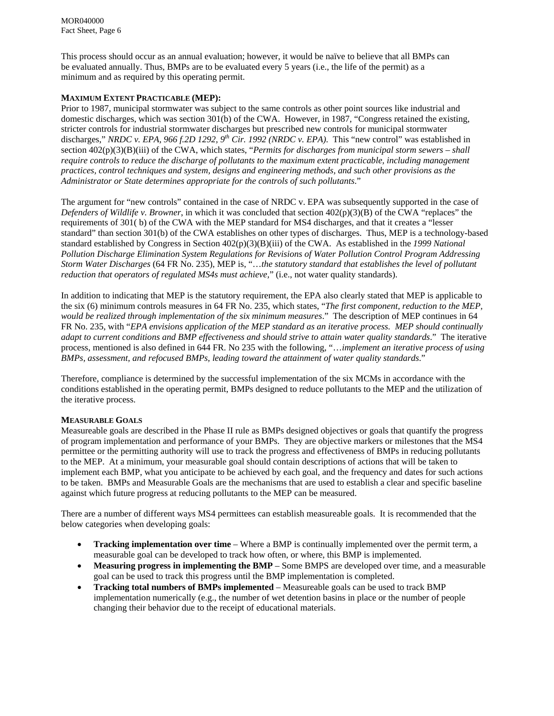This process should occur as an annual evaluation; however, it would be naïve to believe that all BMPs can be evaluated annually. Thus, BMPs are to be evaluated every 5 years (i.e., the life of the permit) as a minimum and as required by this operating permit.

# **MAXIMUM EXTENT PRACTICABLE (MEP):**

Prior to 1987, municipal stormwater was subject to the same controls as other point sources like industrial and domestic discharges, which was section 301(b) of the CWA. However, in 1987, "Congress retained the existing, stricter controls for industrial stormwater discharges but prescribed new controls for municipal stormwater discharges," *NRDC v. EPA, 966 f.2D 1292, 9th Cir. 1992 (NRDC v. EPA)*. This "new control" was established in section  $402(p)(3)(B)(iii)$  of the CWA, which states, "*Permits for discharges from municipal storm sewers – shall require controls to reduce the discharge of pollutants to the maximum extent practicable, including management practices, control techniques and system, designs and engineering methods, and such other provisions as the Administrator or State determines appropriate for the controls of such pollutants*."

The argument for "new controls" contained in the case of NRDC v. EPA was subsequently supported in the case of *Defenders of Wildlife v. Browner*, in which it was concluded that section 402(p)(3)(B) of the CWA "replaces" the requirements of 301( b) of the CWA with the MEP standard for MS4 discharges, and that it creates a "lesser standard" than section 301(b) of the CWA establishes on other types of discharges. Thus, MEP is a technology-based standard established by Congress in Section 402(p)(3)(B)(iii) of the CWA. As established in the *1999 National Pollution Discharge Elimination System Regulations for Revisions of Water Pollution Control Program Addressing Storm Water Discharges* (64 FR No. 235), MEP is, "…*the statutory standard that establishes the level of pollutant reduction that operators of regulated MS4s must achieve,*" (i.e., not water quality standards).

In addition to indicating that MEP is the statutory requirement, the EPA also clearly stated that MEP is applicable to the six (6) minimum controls measures in 64 FR No. 235, which states, "*The first component, reduction to the MEP, would be realized through implementation of the six minimum measures*." The description of MEP continues in 64 FR No. 235, with "*EPA envisions application of the MEP standard as an iterative process. MEP should continually adapt to current conditions and BMP effectiveness and should strive to attain water quality standards*." The iterative process, mentioned is also defined in 644 FR. No 235 with the following, "…*implement an iterative process of using BMPs, assessment, and refocused BMPs, leading toward the attainment of water quality standards*."

Therefore, compliance is determined by the successful implementation of the six MCMs in accordance with the conditions established in the operating permit, BMPs designed to reduce pollutants to the MEP and the utilization of the iterative process.

# **MEASURABLE GOALS**

Measureable goals are described in the Phase II rule as BMPs designed objectives or goals that quantify the progress of program implementation and performance of your BMPs. They are objective markers or milestones that the MS4 permittee or the permitting authority will use to track the progress and effectiveness of BMPs in reducing pollutants to the MEP. At a minimum, your measurable goal should contain descriptions of actions that will be taken to implement each BMP, what you anticipate to be achieved by each goal, and the frequency and dates for such actions to be taken. BMPs and Measurable Goals are the mechanisms that are used to establish a clear and specific baseline against which future progress at reducing pollutants to the MEP can be measured.

There are a number of different ways MS4 permittees can establish measureable goals. It is recommended that the below categories when developing goals:

- **Tracking implementation over time** Where a BMP is continually implemented over the permit term, a measurable goal can be developed to track how often, or where, this BMP is implemented.
- **Measuring progress in implementing the BMP** Some BMPS are developed over time, and a measurable goal can be used to track this progress until the BMP implementation is completed.
- **Tracking total numbers of BMPs implemented** Measureable goals can be used to track BMP implementation numerically (e.g., the number of wet detention basins in place or the number of people changing their behavior due to the receipt of educational materials.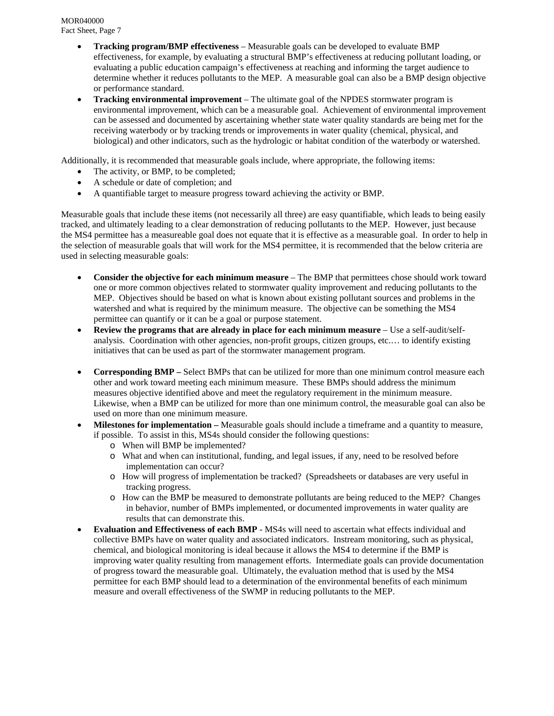- **Tracking program/BMP effectiveness** Measurable goals can be developed to evaluate BMP effectiveness, for example, by evaluating a structural BMP's effectiveness at reducing pollutant loading, or evaluating a public education campaign's effectiveness at reaching and informing the target audience to determine whether it reduces pollutants to the MEP. A measurable goal can also be a BMP design objective or performance standard.
- **Tracking environmental improvement** The ultimate goal of the NPDES stormwater program is environmental improvement, which can be a measurable goal. Achievement of environmental improvement can be assessed and documented by ascertaining whether state water quality standards are being met for the receiving waterbody or by tracking trends or improvements in water quality (chemical, physical, and biological) and other indicators, such as the hydrologic or habitat condition of the waterbody or watershed.

Additionally, it is recommended that measurable goals include, where appropriate, the following items:

- The activity, or BMP, to be completed;
- A schedule or date of completion; and
- A quantifiable target to measure progress toward achieving the activity or BMP.

Measurable goals that include these items (not necessarily all three) are easy quantifiable, which leads to being easily tracked, and ultimately leading to a clear demonstration of reducing pollutants to the MEP. However, just because the MS4 permittee has a measureable goal does not equate that it is effective as a measurable goal. In order to help in the selection of measurable goals that will work for the MS4 permittee, it is recommended that the below criteria are used in selecting measurable goals:

- **Consider the objective for each minimum measure** The BMP that permittees chose should work toward one or more common objectives related to stormwater quality improvement and reducing pollutants to the MEP. Objectives should be based on what is known about existing pollutant sources and problems in the watershed and what is required by the minimum measure. The objective can be something the MS4 permittee can quantify or it can be a goal or purpose statement.
- **Review the programs that are already in place for each minimum measure** Use a self-audit/selfanalysis. Coordination with other agencies, non-profit groups, citizen groups, etc.… to identify existing initiatives that can be used as part of the stormwater management program.
- **Corresponding BMP** Select BMPs that can be utilized for more than one minimum control measure each other and work toward meeting each minimum measure. These BMPs should address the minimum measures objective identified above and meet the regulatory requirement in the minimum measure. Likewise, when a BMP can be utilized for more than one minimum control, the measurable goal can also be used on more than one minimum measure.
- **Milestones for implementation** Measurable goals should include a timeframe and a quantity to measure, if possible. To assist in this, MS4s should consider the following questions:
	- o When will BMP be implemented?
	- o What and when can institutional, funding, and legal issues, if any, need to be resolved before implementation can occur?
	- o How will progress of implementation be tracked? (Spreadsheets or databases are very useful in tracking progress.
	- o How can the BMP be measured to demonstrate pollutants are being reduced to the MEP? Changes in behavior, number of BMPs implemented, or documented improvements in water quality are results that can demonstrate this.
- **Evaluation and Effectiveness of each BMP** MS4s will need to ascertain what effects individual and collective BMPs have on water quality and associated indicators. Instream monitoring, such as physical, chemical, and biological monitoring is ideal because it allows the MS4 to determine if the BMP is improving water quality resulting from management efforts. Intermediate goals can provide documentation of progress toward the measurable goal. Ultimately, the evaluation method that is used by the MS4 permittee for each BMP should lead to a determination of the environmental benefits of each minimum measure and overall effectiveness of the SWMP in reducing pollutants to the MEP.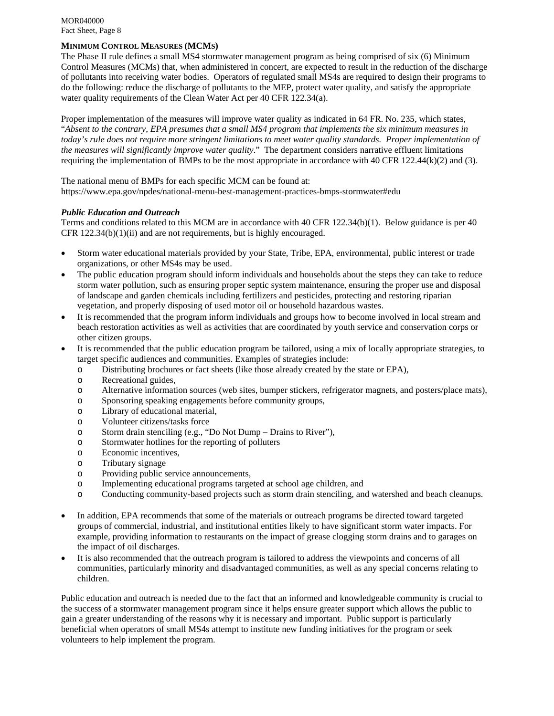# **MINIMUM CONTROL MEASURES (MCMS)**

The Phase II rule defines a small MS4 stormwater management program as being comprised of six (6) Minimum Control Measures (MCMs) that, when administered in concert, are expected to result in the reduction of the discharge of pollutants into receiving water bodies. Operators of regulated small MS4s are required to design their programs to do the following: reduce the discharge of pollutants to the MEP, protect water quality, and satisfy the appropriate water quality requirements of the Clean Water Act per 40 CFR 122.34(a).

Proper implementation of the measures will improve water quality as indicated in 64 FR. No. 235, which states, "*Absent to the contrary, EPA presumes that a small MS4 program that implements the six minimum measures in*  today's rule does not require more stringent limitations to meet water quality standards. Proper implementation of *the measures will significantly improve water quality*." The department considers narrative effluent limitations requiring the implementation of BMPs to be the most appropriate in accordance with 40 CFR 122.44(k)(2) and (3).

The national menu of BMPs for each specific MCM can be found at: https://www.epa.gov/npdes/national-menu-best-management-practices-bmps-stormwater#edu

#### *Public Education and Outreach*

Terms and conditions related to this MCM are in accordance with 40 CFR 122.34(b)(1). Below guidance is per 40 CFR  $122.34(b)(1)(ii)$  and are not requirements, but is highly encouraged.

- Storm water educational materials provided by your State, Tribe, EPA, environmental, public interest or trade organizations, or other MS4s may be used.
- The public education program should inform individuals and households about the steps they can take to reduce storm water pollution, such as ensuring proper septic system maintenance, ensuring the proper use and disposal of landscape and garden chemicals including fertilizers and pesticides, protecting and restoring riparian vegetation, and properly disposing of used motor oil or household hazardous wastes.
- It is recommended that the program inform individuals and groups how to become involved in local stream and beach restoration activities as well as activities that are coordinated by youth service and conservation corps or other citizen groups.
- It is recommended that the public education program be tailored, using a mix of locally appropriate strategies, to target specific audiences and communities. Examples of strategies include:
	- o Distributing brochures or fact sheets (like those already created by the state or EPA),
	- o Recreational guides,
	- o Alternative information sources (web sites, bumper stickers, refrigerator magnets, and posters/place mats),
	- o Sponsoring speaking engagements before community groups,
	- o Library of educational material,
	- o Volunteer citizens/tasks force
	- o Storm drain stenciling (e.g., "Do Not Dump Drains to River"),
	- o Stormwater hotlines for the reporting of polluters
	- o Economic incentives,
	- o Tributary signage
	- o Providing public service announcements,
	- o Implementing educational programs targeted at school age children, and
	- o Conducting community-based projects such as storm drain stenciling, and watershed and beach cleanups.
- In addition, EPA recommends that some of the materials or outreach programs be directed toward targeted groups of commercial, industrial, and institutional entities likely to have significant storm water impacts. For example, providing information to restaurants on the impact of grease clogging storm drains and to garages on the impact of oil discharges.
- It is also recommended that the outreach program is tailored to address the viewpoints and concerns of all communities, particularly minority and disadvantaged communities, as well as any special concerns relating to children.

Public education and outreach is needed due to the fact that an informed and knowledgeable community is crucial to the success of a stormwater management program since it helps ensure greater support which allows the public to gain a greater understanding of the reasons why it is necessary and important. Public support is particularly beneficial when operators of small MS4s attempt to institute new funding initiatives for the program or seek volunteers to help implement the program.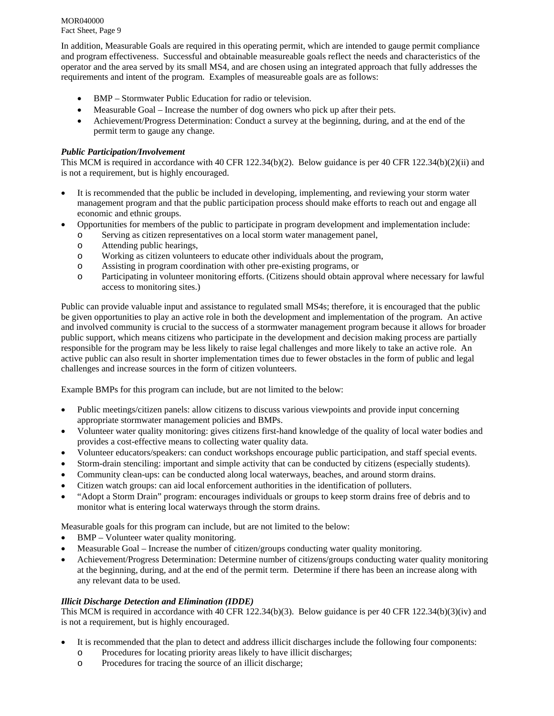In addition, Measurable Goals are required in this operating permit, which are intended to gauge permit compliance and program effectiveness. Successful and obtainable measureable goals reflect the needs and characteristics of the operator and the area served by its small MS4, and are chosen using an integrated approach that fully addresses the requirements and intent of the program. Examples of measureable goals are as follows:

- BMP Stormwater Public Education for radio or television.
- Measurable Goal Increase the number of dog owners who pick up after their pets.
- Achievement/Progress Determination: Conduct a survey at the beginning, during, and at the end of the permit term to gauge any change.

# *Public Participation/Involvement*

This MCM is required in accordance with 40 CFR 122.34(b)(2). Below guidance is per 40 CFR 122.34(b)(2)(ii) and is not a requirement, but is highly encouraged.

- It is recommended that the public be included in developing, implementing, and reviewing your storm water management program and that the public participation process should make efforts to reach out and engage all economic and ethnic groups.
- Opportunities for members of the public to participate in program development and implementation include:
	- o Serving as citizen representatives on a local storm water management panel,
	- o Attending public hearings,
	- o Working as citizen volunteers to educate other individuals about the program,
	- o Assisting in program coordination with other pre-existing programs, or
	- o Participating in volunteer monitoring efforts. (Citizens should obtain approval where necessary for lawful access to monitoring sites.)

Public can provide valuable input and assistance to regulated small MS4s; therefore, it is encouraged that the public be given opportunities to play an active role in both the development and implementation of the program. An active and involved community is crucial to the success of a stormwater management program because it allows for broader public support, which means citizens who participate in the development and decision making process are partially responsible for the program may be less likely to raise legal challenges and more likely to take an active role. An active public can also result in shorter implementation times due to fewer obstacles in the form of public and legal challenges and increase sources in the form of citizen volunteers.

Example BMPs for this program can include, but are not limited to the below:

- Public meetings/citizen panels: allow citizens to discuss various viewpoints and provide input concerning appropriate stormwater management policies and BMPs.
- Volunteer water quality monitoring: gives citizens first-hand knowledge of the quality of local water bodies and provides a cost-effective means to collecting water quality data.
- Volunteer educators/speakers: can conduct workshops encourage public participation, and staff special events.
- Storm-drain stenciling: important and simple activity that can be conducted by citizens (especially students).
- Community clean-ups: can be conducted along local waterways, beaches, and around storm drains.
- Citizen watch groups: can aid local enforcement authorities in the identification of polluters.
- "Adopt a Storm Drain" program: encourages individuals or groups to keep storm drains free of debris and to monitor what is entering local waterways through the storm drains.

Measurable goals for this program can include, but are not limited to the below:

- BMP Volunteer water quality monitoring.
- Measurable Goal Increase the number of citizen/groups conducting water quality monitoring.
- Achievement/Progress Determination: Determine number of citizens/groups conducting water quality monitoring at the beginning, during, and at the end of the permit term. Determine if there has been an increase along with any relevant data to be used.

# *Illicit Discharge Detection and Elimination (IDDE)*

This MCM is required in accordance with 40 CFR 122.34(b)(3). Below guidance is per 40 CFR 122.34(b)(3)(iv) and is not a requirement, but is highly encouraged.

- It is recommended that the plan to detect and address illicit discharges include the following four components:
	- o Procedures for locating priority areas likely to have illicit discharges;
	- o Procedures for tracing the source of an illicit discharge;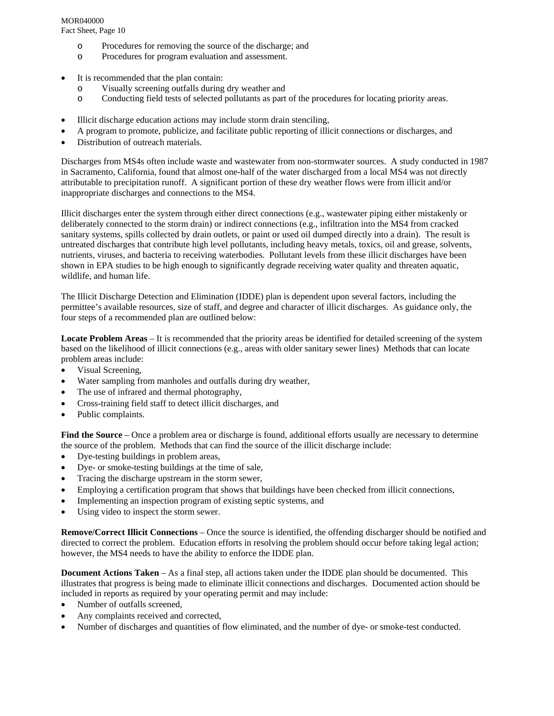# MOR040000

Fact Sheet, Page 10

- o Procedures for removing the source of the discharge; and
- o Procedures for program evaluation and assessment.
- It is recommended that the plan contain:
	- o Visually screening outfalls during dry weather and
	- o Conducting field tests of selected pollutants as part of the procedures for locating priority areas.
- Illicit discharge education actions may include storm drain stenciling,
- A program to promote, publicize, and facilitate public reporting of illicit connections or discharges, and
- Distribution of outreach materials.

Discharges from MS4s often include waste and wastewater from non-stormwater sources. A study conducted in 1987 in Sacramento, California, found that almost one-half of the water discharged from a local MS4 was not directly attributable to precipitation runoff. A significant portion of these dry weather flows were from illicit and/or inappropriate discharges and connections to the MS4.

Illicit discharges enter the system through either direct connections (e.g., wastewater piping either mistakenly or deliberately connected to the storm drain) or indirect connections (e.g., infiltration into the MS4 from cracked sanitary systems, spills collected by drain outlets, or paint or used oil dumped directly into a drain). The result is untreated discharges that contribute high level pollutants, including heavy metals, toxics, oil and grease, solvents, nutrients, viruses, and bacteria to receiving waterbodies. Pollutant levels from these illicit discharges have been shown in EPA studies to be high enough to significantly degrade receiving water quality and threaten aquatic, wildlife, and human life.

The Illicit Discharge Detection and Elimination (IDDE) plan is dependent upon several factors, including the permittee's available resources, size of staff, and degree and character of illicit discharges. As guidance only, the four steps of a recommended plan are outlined below:

**Locate Problem Areas** – It is recommended that the priority areas be identified for detailed screening of the system based on the likelihood of illicit connections (e.g., areas with older sanitary sewer lines) Methods that can locate problem areas include:

- Visual Screening.
- Water sampling from manholes and outfalls during dry weather,
- The use of infrared and thermal photography,
- Cross-training field staff to detect illicit discharges, and
- Public complaints.

**Find the Source** – Once a problem area or discharge is found, additional efforts usually are necessary to determine the source of the problem. Methods that can find the source of the illicit discharge include:

- Dye-testing buildings in problem areas,
- Dye- or smoke-testing buildings at the time of sale,
- Tracing the discharge upstream in the storm sewer,
- Employing a certification program that shows that buildings have been checked from illicit connections,
- Implementing an inspection program of existing septic systems, and
- Using video to inspect the storm sewer.

**Remove/Correct Illicit Connections** – Once the source is identified, the offending discharger should be notified and directed to correct the problem. Education efforts in resolving the problem should occur before taking legal action; however, the MS4 needs to have the ability to enforce the IDDE plan.

**Document Actions Taken** – As a final step, all actions taken under the IDDE plan should be documented. This illustrates that progress is being made to eliminate illicit connections and discharges. Documented action should be included in reports as required by your operating permit and may include:

- Number of outfalls screened,
- Any complaints received and corrected,
- Number of discharges and quantities of flow eliminated, and the number of dye- or smoke-test conducted.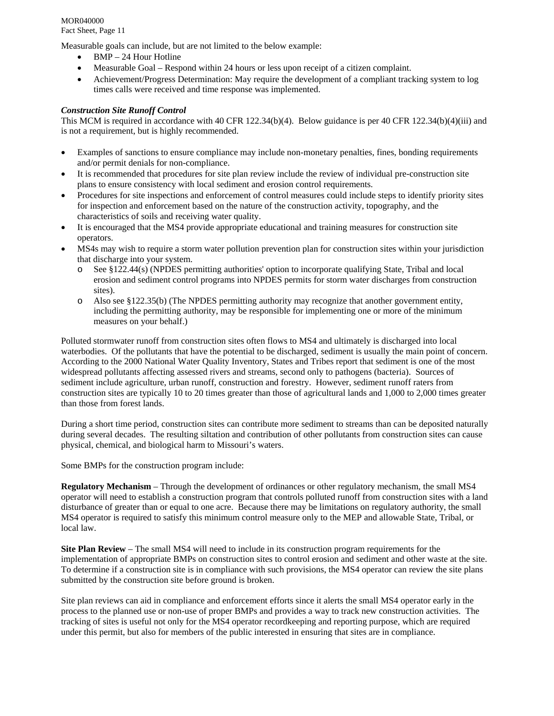Measurable goals can include, but are not limited to the below example:

- BMP 24 Hour Hotline
- Measurable Goal Respond within 24 hours or less upon receipt of a citizen complaint.
- Achievement/Progress Determination: May require the development of a compliant tracking system to log times calls were received and time response was implemented.

# *Construction Site Runoff Control*

This MCM is required in accordance with 40 CFR 122.34(b)(4). Below guidance is per 40 CFR 122.34(b)(4)(iii) and is not a requirement, but is highly recommended.

- Examples of sanctions to ensure compliance may include non-monetary penalties, fines, bonding requirements and/or permit denials for non-compliance.
- It is recommended that procedures for site plan review include the review of individual pre-construction site plans to ensure consistency with local sediment and erosion control requirements.
- Procedures for site inspections and enforcement of control measures could include steps to identify priority sites for inspection and enforcement based on the nature of the construction activity, topography, and the characteristics of soils and receiving water quality.
- It is encouraged that the MS4 provide appropriate educational and training measures for construction site operators.
- MS4s may wish to require a storm water pollution prevention plan for construction sites within your jurisdiction that discharge into your system.
	- o See §122.44(s) (NPDES permitting authorities' option to incorporate qualifying State, Tribal and local erosion and sediment control programs into NPDES permits for storm water discharges from construction sites).
	- o Also see §122.35(b) (The NPDES permitting authority may recognize that another government entity, including the permitting authority, may be responsible for implementing one or more of the minimum measures on your behalf.)

Polluted stormwater runoff from construction sites often flows to MS4 and ultimately is discharged into local waterbodies. Of the pollutants that have the potential to be discharged, sediment is usually the main point of concern. According to the 2000 National Water Quality Inventory, States and Tribes report that sediment is one of the most widespread pollutants affecting assessed rivers and streams, second only to pathogens (bacteria). Sources of sediment include agriculture, urban runoff, construction and forestry. However, sediment runoff raters from construction sites are typically 10 to 20 times greater than those of agricultural lands and 1,000 to 2,000 times greater than those from forest lands.

During a short time period, construction sites can contribute more sediment to streams than can be deposited naturally during several decades. The resulting siltation and contribution of other pollutants from construction sites can cause physical, chemical, and biological harm to Missouri's waters.

Some BMPs for the construction program include:

**Regulatory Mechanism** – Through the development of ordinances or other regulatory mechanism, the small MS4 operator will need to establish a construction program that controls polluted runoff from construction sites with a land disturbance of greater than or equal to one acre. Because there may be limitations on regulatory authority, the small MS4 operator is required to satisfy this minimum control measure only to the MEP and allowable State, Tribal, or local law.

**Site Plan Review** – The small MS4 will need to include in its construction program requirements for the implementation of appropriate BMPs on construction sites to control erosion and sediment and other waste at the site. To determine if a construction site is in compliance with such provisions, the MS4 operator can review the site plans submitted by the construction site before ground is broken.

Site plan reviews can aid in compliance and enforcement efforts since it alerts the small MS4 operator early in the process to the planned use or non-use of proper BMPs and provides a way to track new construction activities. The tracking of sites is useful not only for the MS4 operator recordkeeping and reporting purpose, which are required under this permit, but also for members of the public interested in ensuring that sites are in compliance.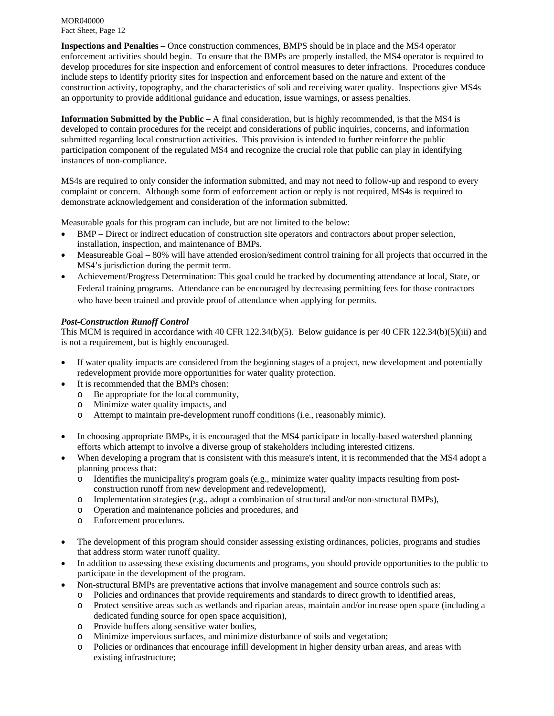**Inspections and Penalties** – Once construction commences, BMPS should be in place and the MS4 operator enforcement activities should begin. To ensure that the BMPs are properly installed, the MS4 operator is required to develop procedures for site inspection and enforcement of control measures to deter infractions. Procedures conduce include steps to identify priority sites for inspection and enforcement based on the nature and extent of the construction activity, topography, and the characteristics of soli and receiving water quality. Inspections give MS4s an opportunity to provide additional guidance and education, issue warnings, or assess penalties.

**Information Submitted by the Public** – A final consideration, but is highly recommended, is that the MS4 is developed to contain procedures for the receipt and considerations of public inquiries, concerns, and information submitted regarding local construction activities. This provision is intended to further reinforce the public participation component of the regulated MS4 and recognize the crucial role that public can play in identifying instances of non-compliance.

MS4s are required to only consider the information submitted, and may not need to follow-up and respond to every complaint or concern. Although some form of enforcement action or reply is not required, MS4s is required to demonstrate acknowledgement and consideration of the information submitted.

Measurable goals for this program can include, but are not limited to the below:

- BMP Direct or indirect education of construction site operators and contractors about proper selection, installation, inspection, and maintenance of BMPs.
- Measureable Goal 80% will have attended erosion/sediment control training for all projects that occurred in the MS4's jurisdiction during the permit term.
- Achievement/Progress Determination: This goal could be tracked by documenting attendance at local, State, or Federal training programs. Attendance can be encouraged by decreasing permitting fees for those contractors who have been trained and provide proof of attendance when applying for permits.

# *Post-Construction Runoff Control*

This MCM is required in accordance with 40 CFR 122.34(b)(5). Below guidance is per 40 CFR 122.34(b)(5)(iii) and is not a requirement, but is highly encouraged.

- If water quality impacts are considered from the beginning stages of a project, new development and potentially redevelopment provide more opportunities for water quality protection.
- It is recommended that the BMPs chosen:
	- o Be appropriate for the local community,
	- o Minimize water quality impacts, and
	- o Attempt to maintain pre-development runoff conditions (i.e., reasonably mimic).
- In choosing appropriate BMPs, it is encouraged that the MS4 participate in locally-based watershed planning efforts which attempt to involve a diverse group of stakeholders including interested citizens.
- When developing a program that is consistent with this measure's intent, it is recommended that the MS4 adopt a planning process that:
	- o Identifies the municipality's program goals (e.g., minimize water quality impacts resulting from postconstruction runoff from new development and redevelopment),
	- o Implementation strategies (e.g., adopt a combination of structural and/or non-structural BMPs),
	- o Operation and maintenance policies and procedures, and
	- o Enforcement procedures.
- The development of this program should consider assessing existing ordinances, policies, programs and studies that address storm water runoff quality.
- In addition to assessing these existing documents and programs, you should provide opportunities to the public to participate in the development of the program.
- Non-structural BMPs are preventative actions that involve management and source controls such as:
	- o Policies and ordinances that provide requirements and standards to direct growth to identified areas,
	- o Protect sensitive areas such as wetlands and riparian areas, maintain and/or increase open space (including a dedicated funding source for open space acquisition),
	- o Provide buffers along sensitive water bodies,
	- o Minimize impervious surfaces, and minimize disturbance of soils and vegetation;
	- o Policies or ordinances that encourage infill development in higher density urban areas, and areas with existing infrastructure;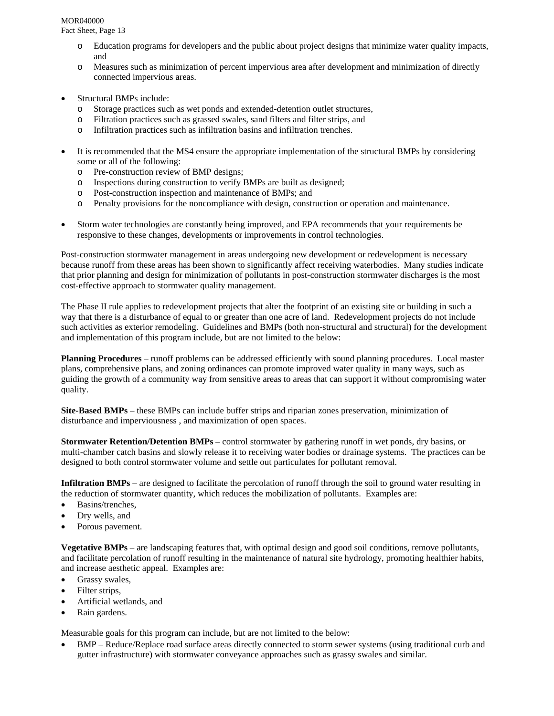# MOR040000

Fact Sheet, Page 13

- Education programs for developers and the public about project designs that minimize water quality impacts, and
- o Measures such as minimization of percent impervious area after development and minimization of directly connected impervious areas.
- Structural BMPs include:
	- o Storage practices such as wet ponds and extended-detention outlet structures,
	- o Filtration practices such as grassed swales, sand filters and filter strips, and
	- o Infiltration practices such as infiltration basins and infiltration trenches.
- It is recommended that the MS4 ensure the appropriate implementation of the structural BMPs by considering some or all of the following:
	- o Pre-construction review of BMP designs;
	- o Inspections during construction to verify BMPs are built as designed;
	- o Post-construction inspection and maintenance of BMPs; and
	- o Penalty provisions for the noncompliance with design, construction or operation and maintenance.
- Storm water technologies are constantly being improved, and EPA recommends that your requirements be responsive to these changes, developments or improvements in control technologies.

Post-construction stormwater management in areas undergoing new development or redevelopment is necessary because runoff from these areas has been shown to significantly affect receiving waterbodies. Many studies indicate that prior planning and design for minimization of pollutants in post-construction stormwater discharges is the most cost-effective approach to stormwater quality management.

The Phase II rule applies to redevelopment projects that alter the footprint of an existing site or building in such a way that there is a disturbance of equal to or greater than one acre of land. Redevelopment projects do not include such activities as exterior remodeling. Guidelines and BMPs (both non-structural and structural) for the development and implementation of this program include, but are not limited to the below:

**Planning Procedures** – runoff problems can be addressed efficiently with sound planning procedures. Local master plans, comprehensive plans, and zoning ordinances can promote improved water quality in many ways, such as guiding the growth of a community way from sensitive areas to areas that can support it without compromising water quality.

**Site-Based BMPs** – these BMPs can include buffer strips and riparian zones preservation, minimization of disturbance and imperviousness , and maximization of open spaces.

**Stormwater Retention/Detention BMPs** – control stormwater by gathering runoff in wet ponds, dry basins, or multi-chamber catch basins and slowly release it to receiving water bodies or drainage systems. The practices can be designed to both control stormwater volume and settle out particulates for pollutant removal.

**Infiltration BMPs** – are designed to facilitate the percolation of runoff through the soil to ground water resulting in the reduction of stormwater quantity, which reduces the mobilization of pollutants. Examples are:

- Basins/trenches,
- Dry wells, and
- Porous pavement.

**Vegetative BMPs** – are landscaping features that, with optimal design and good soil conditions, remove pollutants, and facilitate percolation of runoff resulting in the maintenance of natural site hydrology, promoting healthier habits, and increase aesthetic appeal. Examples are:

- Grassy swales,
- Filter strips,
- Artificial wetlands, and
- Rain gardens.

Measurable goals for this program can include, but are not limited to the below:

 BMP – Reduce/Replace road surface areas directly connected to storm sewer systems (using traditional curb and gutter infrastructure) with stormwater conveyance approaches such as grassy swales and similar.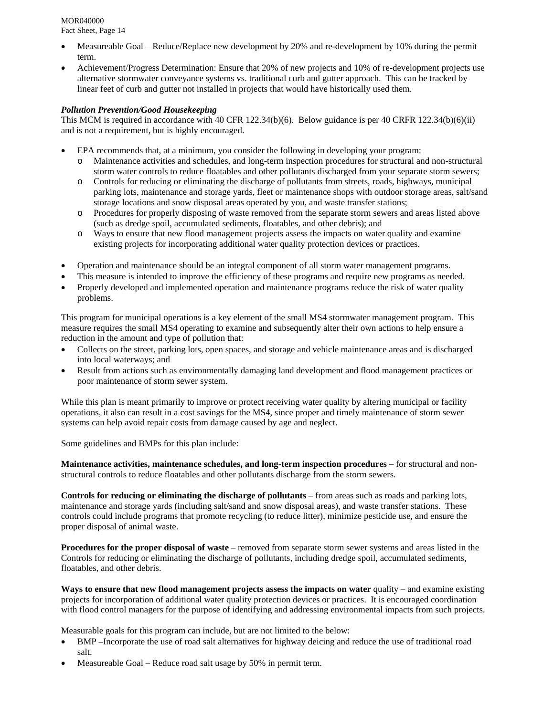- Measureable Goal Reduce/Replace new development by 20% and re-development by 10% during the permit term.
- Achievement/Progress Determination: Ensure that 20% of new projects and 10% of re-development projects use alternative stormwater conveyance systems vs. traditional curb and gutter approach. This can be tracked by linear feet of curb and gutter not installed in projects that would have historically used them.

# *Pollution Prevention/Good Housekeeping*

This MCM is required in accordance with 40 CFR 122.34(b)(6). Below guidance is per 40 CRFR 122.34(b)(6)(ii) and is not a requirement, but is highly encouraged.

- EPA recommends that, at a minimum, you consider the following in developing your program:
	- o Maintenance activities and schedules, and long-term inspection procedures for structural and non-structural storm water controls to reduce floatables and other pollutants discharged from your separate storm sewers;
	- o Controls for reducing or eliminating the discharge of pollutants from streets, roads, highways, municipal parking lots, maintenance and storage yards, fleet or maintenance shops with outdoor storage areas, salt/sand storage locations and snow disposal areas operated by you, and waste transfer stations;
	- o Procedures for properly disposing of waste removed from the separate storm sewers and areas listed above (such as dredge spoil, accumulated sediments, floatables, and other debris); and
	- o Ways to ensure that new flood management projects assess the impacts on water quality and examine existing projects for incorporating additional water quality protection devices or practices.
- Operation and maintenance should be an integral component of all storm water management programs.
- This measure is intended to improve the efficiency of these programs and require new programs as needed.
- Properly developed and implemented operation and maintenance programs reduce the risk of water quality problems.

This program for municipal operations is a key element of the small MS4 stormwater management program. This measure requires the small MS4 operating to examine and subsequently alter their own actions to help ensure a reduction in the amount and type of pollution that:

- Collects on the street, parking lots, open spaces, and storage and vehicle maintenance areas and is discharged into local waterways; and
- Result from actions such as environmentally damaging land development and flood management practices or poor maintenance of storm sewer system.

While this plan is meant primarily to improve or protect receiving water quality by altering municipal or facility operations, it also can result in a cost savings for the MS4, since proper and timely maintenance of storm sewer systems can help avoid repair costs from damage caused by age and neglect.

Some guidelines and BMPs for this plan include:

**Maintenance activities, maintenance schedules, and long-term inspection procedures** – for structural and nonstructural controls to reduce floatables and other pollutants discharge from the storm sewers.

**Controls for reducing or eliminating the discharge of pollutants** – from areas such as roads and parking lots, maintenance and storage yards (including salt/sand and snow disposal areas), and waste transfer stations. These controls could include programs that promote recycling (to reduce litter), minimize pesticide use, and ensure the proper disposal of animal waste.

**Procedures for the proper disposal of waste** – removed from separate storm sewer systems and areas listed in the Controls for reducing or eliminating the discharge of pollutants, including dredge spoil, accumulated sediments, floatables, and other debris.

**Ways to ensure that new flood management projects assess the impacts on water** quality – and examine existing projects for incorporation of additional water quality protection devices or practices. It is encouraged coordination with flood control managers for the purpose of identifying and addressing environmental impacts from such projects.

Measurable goals for this program can include, but are not limited to the below:

- BMP –Incorporate the use of road salt alternatives for highway deicing and reduce the use of traditional road salt.
- Measureable Goal Reduce road salt usage by 50% in permit term.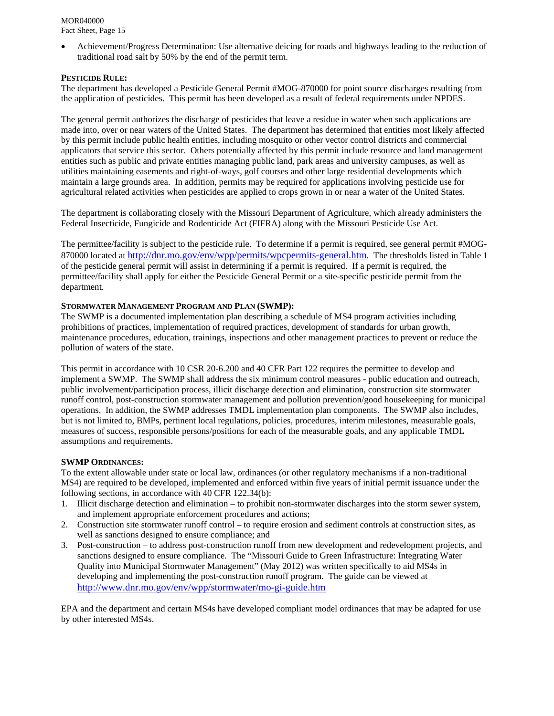Achievement/Progress Determination: Use alternative deicing for roads and highways leading to the reduction of traditional road salt by 50% by the end of the permit term.

#### **PESTICIDE RULE:**

The department has developed a Pesticide General Permit #MOG-870000 for point source discharges resulting from the application of pesticides. This permit has been developed as a result of federal requirements under NPDES.

The general permit authorizes the discharge of pesticides that leave a residue in water when such applications are made into, over or near waters of the United States. The department has determined that entities most likely affected by this permit include public health entities, including mosquito or other vector control districts and commercial applicators that service this sector. Others potentially affected by this permit include resource and land management entities such as public and private entities managing public land, park areas and university campuses, as well as utilities maintaining easements and right-of-ways, golf courses and other large residential developments which maintain a large grounds area. In addition, permits may be required for applications involving pesticide use for agricultural related activities when pesticides are applied to crops grown in or near a water of the United States.

The department is collaborating closely with the Missouri Department of Agriculture, which already administers the Federal Insecticide, Fungicide and Rodenticide Act (FIFRA) along with the Missouri Pesticide Use Act.

The permittee/facility is subject to the pesticide rule. To determine if a permit is required, see general permit #MOG-870000 located at http://dnr.mo.gov/env/wpp/permits/wpcpermits-general.htm. The thresholds listed in Table 1 of the pesticide general permit will assist in determining if a permit is required. If a permit is required, the permittee/facility shall apply for either the Pesticide General Permit or a site-specific pesticide permit from the department.

#### **STORMWATER MANAGEMENT PROGRAM AND PLAN (SWMP):**

The SWMP is a documented implementation plan describing a schedule of MS4 program activities including prohibitions of practices, implementation of required practices, development of standards for urban growth, maintenance procedures, education, trainings, inspections and other management practices to prevent or reduce the pollution of waters of the state.

This permit in accordance with 10 CSR 20-6.200 and 40 CFR Part 122 requires the permittee to develop and implement a SWMP. The SWMP shall address the six minimum control measures - public education and outreach, public involvement/participation process, illicit discharge detection and elimination, construction site stormwater runoff control, post-construction stormwater management and pollution prevention/good housekeeping for municipal operations. In addition, the SWMP addresses TMDL implementation plan components. The SWMP also includes, but is not limited to, BMPs, pertinent local regulations, policies, procedures, interim milestones, measurable goals, measures of success, responsible persons/positions for each of the measurable goals, and any applicable TMDL assumptions and requirements.

#### **SWMP ORDINANCES:**

To the extent allowable under state or local law, ordinances (or other regulatory mechanisms if a non-traditional MS4) are required to be developed, implemented and enforced within five years of initial permit issuance under the following sections, in accordance with 40 CFR 122.34(b):

- 1. Illicit discharge detection and elimination to prohibit non-stormwater discharges into the storm sewer system, and implement appropriate enforcement procedures and actions;
- 2. Construction site stormwater runoff control to require erosion and sediment controls at construction sites, as well as sanctions designed to ensure compliance; and
- 3. Post-construction to address post-construction runoff from new development and redevelopment projects, and sanctions designed to ensure compliance. The "Missouri Guide to Green Infrastructure: Integrating Water Quality into Municipal Stormwater Management" (May 2012) was written specifically to aid MS4s in developing and implementing the post-construction runoff program. The guide can be viewed at http://www.dnr.mo.gov/env/wpp/stormwater/mo-gi-guide.htm

EPA and the department and certain MS4s have developed compliant model ordinances that may be adapted for use by other interested MS4s.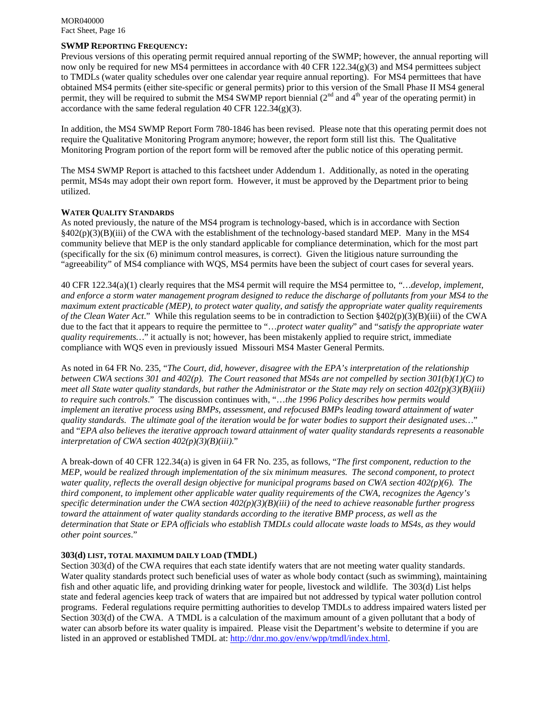# **SWMP REPORTING FREQUENCY:**

Previous versions of this operating permit required annual reporting of the SWMP; however, the annual reporting will now only be required for new MS4 permittees in accordance with 40 CFR 122.34(g)(3) and MS4 permittees subject to TMDLs (water quality schedules over one calendar year require annual reporting). For MS4 permittees that have obtained MS4 permits (either site-specific or general permits) prior to this version of the Small Phase II MS4 general permit, they will be required to submit the MS4 SWMP report biennial (2<sup>nd</sup> and 4<sup>th</sup> year of the operating permit) in accordance with the same federal regulation 40 CFR 122.34(g)(3).

In addition, the MS4 SWMP Report Form 780-1846 has been revised. Please note that this operating permit does not require the Qualitative Monitoring Program anymore; however, the report form still list this. The Qualitative Monitoring Program portion of the report form will be removed after the public notice of this operating permit.

The MS4 SWMP Report is attached to this factsheet under Addendum 1. Additionally, as noted in the operating permit, MS4s may adopt their own report form. However, it must be approved by the Department prior to being utilized.

#### **WATER QUALITY STANDARDS**

As noted previously, the nature of the MS4 program is technology-based, which is in accordance with Section §402(p)(3)(B)(iii) of the CWA with the establishment of the technology-based standard MEP. Many in the MS4 community believe that MEP is the only standard applicable for compliance determination, which for the most part (specifically for the six (6) minimum control measures, is correct). Given the litigious nature surrounding the "agreeability" of MS4 compliance with WQS, MS4 permits have been the subject of court cases for several years.

40 CFR 122.34(a)(1) clearly requires that the MS4 permit will require the MS4 permittee to, *"…develop, implement, and enforce a storm water management program designed to reduce the discharge of pollutants from your MS4 to the maximum extent practicable (MEP), to protect water quality, and satisfy the appropriate water quality requirements of the Clean Water Act*." While this regulation seems to be in contradiction to Section §402(p)(3)(B)(iii) of the CWA due to the fact that it appears to require the permittee to "…*protect water quality*" and "*satisfy the appropriate water quality requirements…*" it actually is not; however, has been mistakenly applied to require strict, immediate compliance with WQS even in previously issued Missouri MS4 Master General Permits.

As noted in 64 FR No. 235, "*The Court, did, however, disagree with the EPA's interpretation of the relationship between CWA sections 301 and 402(p). The Court reasoned that MS4s are not compelled by section 301(b)(1)(C) to meet all State water quality standards, but rather the Administrator or the State may rely on section 402(p)(3)(B)(iii) to require such controls*." The discussion continues with, "…*the 1996 Policy describes how permits would implement an iterative process using BMPs, assessment, and refocused BMPs leading toward attainment of water quality standards. The ultimate goal of the iteration would be for water bodies to support their designated uses…*" and "*EPA also believes the iterative approach toward attainment of water quality standards represents a reasonable interpretation of CWA section 402(p)(3)(B)(iii)*."

A break-down of 40 CFR 122.34(a) is given in 64 FR No. 235, as follows, "*The first component, reduction to the MEP, would be realized through implementation of the six minimum measures. The second component, to protect water quality, reflects the overall design objective for municipal programs based on CWA section 402(p)(6). The third component, to implement other applicable water quality requirements of the CWA, recognizes the Agency's specific determination under the CWA section 402(p)(3)(B)(iii) of the need to achieve reasonable further progress toward the attainment of water quality standards according to the iterative BMP process, as well as the determination that State or EPA officials who establish TMDLs could allocate waste loads to MS4s, as they would other point sources*."

#### **303(d) LIST, TOTAL MAXIMUM DAILY LOAD (TMDL)**

Section 303(d) of the CWA requires that each state identify waters that are not meeting water quality standards. Water quality standards protect such beneficial uses of water as whole body contact (such as swimming), maintaining fish and other aquatic life, and providing drinking water for people, livestock and wildlife. The 303(d) List helps state and federal agencies keep track of waters that are impaired but not addressed by typical water pollution control programs. Federal regulations require permitting authorities to develop TMDLs to address impaired waters listed per Section 303(d) of the CWA. A TMDL is a calculation of the maximum amount of a given pollutant that a body of water can absorb before its water quality is impaired. Please visit the Department's website to determine if you are listed in an approved or established TMDL at: http://dnr.mo.gov/env/wpp/tmdl/index.html.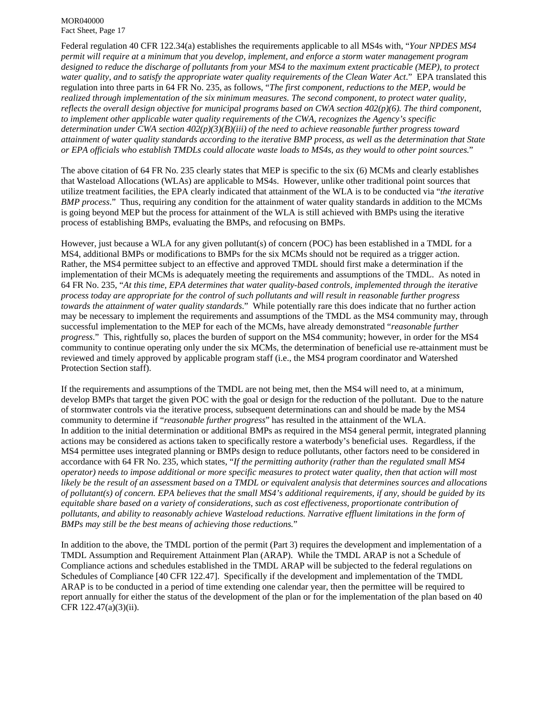Federal regulation 40 CFR 122.34(a) establishes the requirements applicable to all MS4s with, "*Your NPDES MS4 permit will require at a minimum that you develop, implement, and enforce a storm water management program*  designed to reduce the discharge of pollutants from your MS4 to the maximum extent practicable (MEP), to protect *water quality, and to satisfy the appropriate water quality requirements of the Clean Water Act*." EPA translated this regulation into three parts in 64 FR No. 235, as follows, "*The first component, reductions to the MEP, would be realized through implementation of the six minimum measures. The second component, to protect water quality, reflects the overall design objective for municipal programs based on CWA section 402(p)(6). The third component, to implement other applicable water quality requirements of the CWA, recognizes the Agency's specific determination under CWA section 402(p)(3)(B)(iii) of the need to achieve reasonable further progress toward attainment of water quality standards according to the iterative BMP process, as well as the determination that State or EPA officials who establish TMDLs could allocate waste loads to MS4s, as they would to other point sources.*"

The above citation of 64 FR No. 235 clearly states that MEP is specific to the six (6) MCMs and clearly establishes that Wasteload Allocations (WLAs) are applicable to MS4s. However, unlike other traditional point sources that utilize treatment facilities, the EPA clearly indicated that attainment of the WLA is to be conducted via "*the iterative BMP process*." Thus, requiring any condition for the attainment of water quality standards in addition to the MCMs is going beyond MEP but the process for attainment of the WLA is still achieved with BMPs using the iterative process of establishing BMPs, evaluating the BMPs, and refocusing on BMPs.

However, just because a WLA for any given pollutant(s) of concern (POC) has been established in a TMDL for a MS4, additional BMPs or modifications to BMPs for the six MCMs should not be required as a trigger action. Rather, the MS4 permittee subject to an effective and approved TMDL should first make a determination if the implementation of their MCMs is adequately meeting the requirements and assumptions of the TMDL. As noted in 64 FR No. 235, "*At this time, EPA determines that water quality-based controls, implemented through the iterative process today are appropriate for the control of such pollutants and will result in reasonable further progress towards the attainment of water quality standards*." While potentially rare this does indicate that no further action may be necessary to implement the requirements and assumptions of the TMDL as the MS4 community may, through successful implementation to the MEP for each of the MCMs, have already demonstrated "*reasonable further progress*." This, rightfully so, places the burden of support on the MS4 community; however, in order for the MS4 community to continue operating only under the six MCMs, the determination of beneficial use re-attainment must be reviewed and timely approved by applicable program staff (i.e., the MS4 program coordinator and Watershed Protection Section staff).

If the requirements and assumptions of the TMDL are not being met, then the MS4 will need to, at a minimum, develop BMPs that target the given POC with the goal or design for the reduction of the pollutant. Due to the nature of stormwater controls via the iterative process, subsequent determinations can and should be made by the MS4 community to determine if "*reasonable further progress*" has resulted in the attainment of the WLA. In addition to the initial determination or additional BMPs as required in the MS4 general permit, integrated planning actions may be considered as actions taken to specifically restore a waterbody's beneficial uses. Regardless, if the MS4 permittee uses integrated planning or BMPs design to reduce pollutants, other factors need to be considered in accordance with 64 FR No. 235, which states, "*If the permitting authority (rather than the regulated small MS4 operator) needs to impose additional or more specific measures to protect water quality, then that action will most likely be the result of an assessment based on a TMDL or equivalent analysis that determines sources and allocations of pollutant(s) of concern. EPA believes that the small MS4's additional requirements, if any, should be guided by its equitable share based on a variety of considerations, such as cost effectiveness, proportionate contribution of pollutants, and ability to reasonably achieve Wasteload reductions. Narrative effluent limitations in the form of BMPs may still be the best means of achieving those reductions.*"

In addition to the above, the TMDL portion of the permit (Part 3) requires the development and implementation of a TMDL Assumption and Requirement Attainment Plan (ARAP). While the TMDL ARAP is not a Schedule of Compliance actions and schedules established in the TMDL ARAP will be subjected to the federal regulations on Schedules of Compliance [40 CFR 122.47]. Specifically if the development and implementation of the TMDL ARAP is to be conducted in a period of time extending one calendar year, then the permittee will be required to report annually for either the status of the development of the plan or for the implementation of the plan based on 40 CFR 122.47(a)(3)(ii).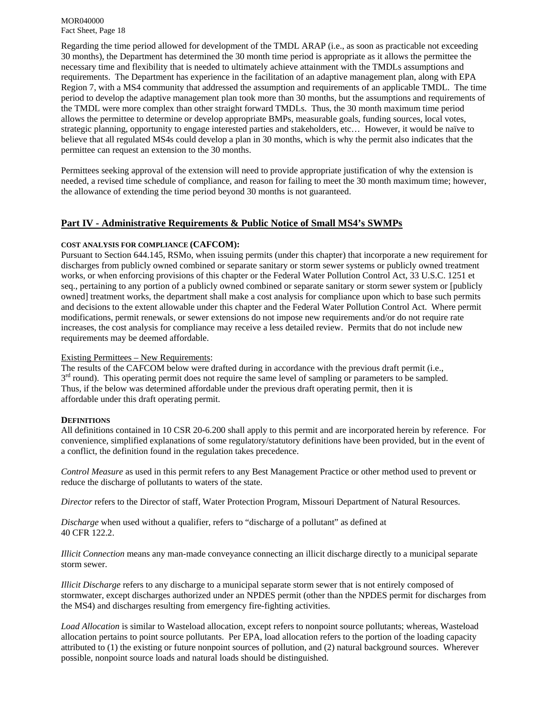Regarding the time period allowed for development of the TMDL ARAP (i.e., as soon as practicable not exceeding 30 months), the Department has determined the 30 month time period is appropriate as it allows the permittee the necessary time and flexibility that is needed to ultimately achieve attainment with the TMDLs assumptions and requirements. The Department has experience in the facilitation of an adaptive management plan, along with EPA Region 7, with a MS4 community that addressed the assumption and requirements of an applicable TMDL. The time period to develop the adaptive management plan took more than 30 months, but the assumptions and requirements of the TMDL were more complex than other straight forward TMDLs. Thus, the 30 month maximum time period allows the permittee to determine or develop appropriate BMPs, measurable goals, funding sources, local votes, strategic planning, opportunity to engage interested parties and stakeholders, etc… However, it would be naïve to believe that all regulated MS4s could develop a plan in 30 months, which is why the permit also indicates that the permittee can request an extension to the 30 months.

Permittees seeking approval of the extension will need to provide appropriate justification of why the extension is needed, a revised time schedule of compliance, and reason for failing to meet the 30 month maximum time; however, the allowance of extending the time period beyond 30 months is not guaranteed.

# **Part IV - Administrative Requirements & Public Notice of Small MS4's SWMPs**

#### **COST ANALYSIS FOR COMPLIANCE (CAFCOM):**

Pursuant to Section 644.145, RSMo, when issuing permits (under this chapter) that incorporate a new requirement for discharges from publicly owned combined or separate sanitary or storm sewer systems or publicly owned treatment works, or when enforcing provisions of this chapter or the Federal Water Pollution Control Act, 33 U.S.C. 1251 et seq., pertaining to any portion of a publicly owned combined or separate sanitary or storm sewer system or [publicly owned] treatment works, the department shall make a cost analysis for compliance upon which to base such permits and decisions to the extent allowable under this chapter and the Federal Water Pollution Control Act. Where permit modifications, permit renewals, or sewer extensions do not impose new requirements and/or do not require rate increases, the cost analysis for compliance may receive a less detailed review. Permits that do not include new requirements may be deemed affordable.

#### Existing Permittees – New Requirements:

The results of the CAFCOM below were drafted during in accordance with the previous draft permit (i.e.,  $3<sup>rd</sup>$  round). This operating permit does not require the same level of sampling or parameters to be sampled. Thus, if the below was determined affordable under the previous draft operating permit, then it is affordable under this draft operating permit.

#### **DEFINITIONS**

All definitions contained in 10 CSR 20-6.200 shall apply to this permit and are incorporated herein by reference. For convenience, simplified explanations of some regulatory/statutory definitions have been provided, but in the event of a conflict, the definition found in the regulation takes precedence.

*Control Measure* as used in this permit refers to any Best Management Practice or other method used to prevent or reduce the discharge of pollutants to waters of the state.

*Director* refers to the Director of staff, Water Protection Program, Missouri Department of Natural Resources.

*Discharge* when used without a qualifier, refers to "discharge of a pollutant" as defined at 40 CFR 122.2.

*Illicit Connection* means any man-made conveyance connecting an illicit discharge directly to a municipal separate storm sewer.

*Illicit Discharge* refers to any discharge to a municipal separate storm sewer that is not entirely composed of stormwater, except discharges authorized under an NPDES permit (other than the NPDES permit for discharges from the MS4) and discharges resulting from emergency fire-fighting activities.

*Load Allocation* is similar to Wasteload allocation, except refers to nonpoint source pollutants; whereas, Wasteload allocation pertains to point source pollutants. Per EPA, load allocation refers to the portion of the loading capacity attributed to (1) the existing or future nonpoint sources of pollution, and (2) natural background sources. Wherever possible, nonpoint source loads and natural loads should be distinguished.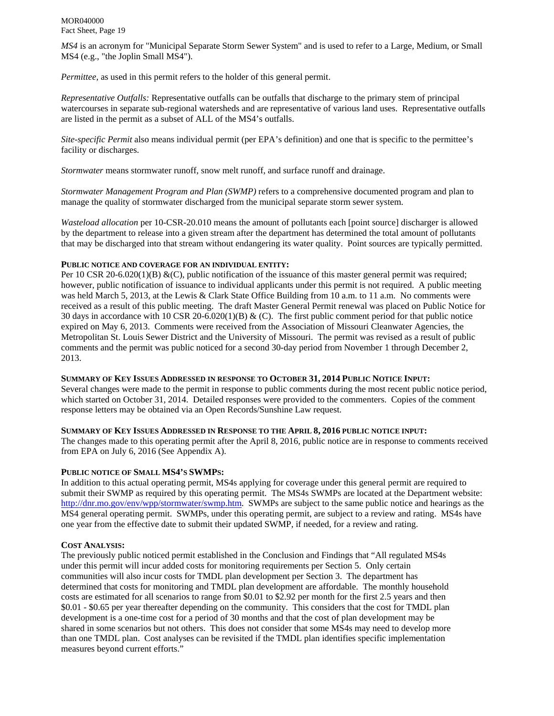*MS4* is an acronym for "Municipal Separate Storm Sewer System" and is used to refer to a Large, Medium, or Small MS4 (e.g., "the Joplin Small MS4").

*Permittee,* as used in this permit refers to the holder of this general permit.

*Representative Outfalls:* Representative outfalls can be outfalls that discharge to the primary stem of principal watercourses in separate sub-regional watersheds and are representative of various land uses. Representative outfalls are listed in the permit as a subset of ALL of the MS4's outfalls.

*Site-specific Permit* also means individual permit (per EPA's definition) and one that is specific to the permittee's facility or discharges.

*Stormwater* means stormwater runoff, snow melt runoff, and surface runoff and drainage.

*Stormwater Management Program and Plan (SWMP)* refers to a comprehensive documented program and plan to manage the quality of stormwater discharged from the municipal separate storm sewer system.

*Wasteload allocation* per 10-CSR-20.010 means the amount of pollutants each [point source] discharger is allowed by the department to release into a given stream after the department has determined the total amount of pollutants that may be discharged into that stream without endangering its water quality. Point sources are typically permitted.

# **PUBLIC NOTICE AND COVERAGE FOR AN INDIVIDUAL ENTITY:**

Per 10 CSR 20-6.020(1)(B)  $\&$ (C), public notification of the issuance of this master general permit was required; however, public notification of issuance to individual applicants under this permit is not required. A public meeting was held March 5, 2013, at the Lewis & Clark State Office Building from 10 a.m. to 11 a.m. No comments were received as a result of this public meeting. The draft Master General Permit renewal was placed on Public Notice for 30 days in accordance with 10 CSR 20-6.020(1)(B) & (C). The first public comment period for that public notice expired on May 6, 2013. Comments were received from the Association of Missouri Cleanwater Agencies, the Metropolitan St. Louis Sewer District and the University of Missouri. The permit was revised as a result of public comments and the permit was public noticed for a second 30-day period from November 1 through December 2, 2013.

# **SUMMARY OF KEY ISSUES ADDRESSED IN RESPONSE TO OCTOBER 31, 2014 PUBLIC NOTICE INPUT:**

Several changes were made to the permit in response to public comments during the most recent public notice period, which started on October 31, 2014. Detailed responses were provided to the commenters. Copies of the comment response letters may be obtained via an Open Records/Sunshine Law request.

# **SUMMARY OF KEY ISSUES ADDRESSED IN RESPONSE TO THE APRIL 8, 2016 PUBLIC NOTICE INPUT:**

The changes made to this operating permit after the April 8, 2016, public notice are in response to comments received from EPA on July 6, 2016 (See Appendix A).

# **PUBLIC NOTICE OF SMALL MS4'S SWMPS:**

In addition to this actual operating permit, MS4s applying for coverage under this general permit are required to submit their SWMP as required by this operating permit. The MS4s SWMPs are located at the Department website: http://dnr.mo.gov/env/wpp/stormwater/swmp.htm. SWMPs are subject to the same public notice and hearings as the MS4 general operating permit. SWMPs, under this operating permit, are subject to a review and rating. MS4s have one year from the effective date to submit their updated SWMP, if needed, for a review and rating.

# **COST ANALYSIS:**

The previously public noticed permit established in the Conclusion and Findings that "All regulated MS4s under this permit will incur added costs for monitoring requirements per Section 5. Only certain communities will also incur costs for TMDL plan development per Section 3. The department has determined that costs for monitoring and TMDL plan development are affordable. The monthly household costs are estimated for all scenarios to range from \$0.01 to \$2.92 per month for the first 2.5 years and then \$0.01 - \$0.65 per year thereafter depending on the community. This considers that the cost for TMDL plan development is a one-time cost for a period of 30 months and that the cost of plan development may be shared in some scenarios but not others. This does not consider that some MS4s may need to develop more than one TMDL plan. Cost analyses can be revisited if the TMDL plan identifies specific implementation measures beyond current efforts."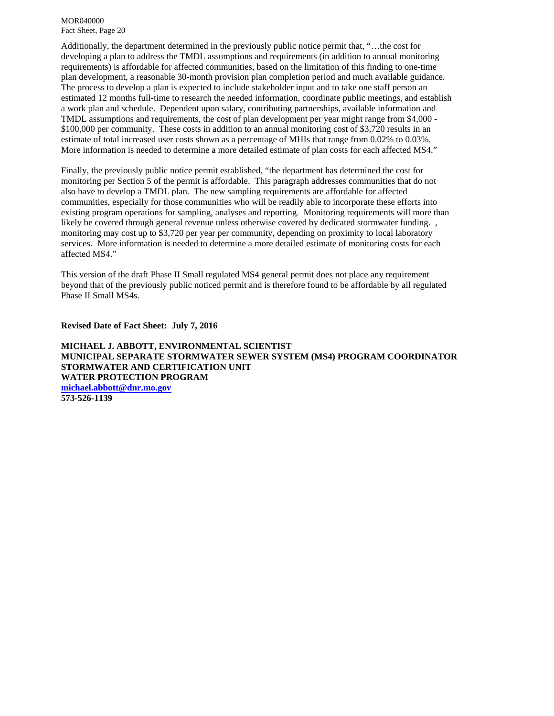Additionally, the department determined in the previously public notice permit that, "…the cost for developing a plan to address the TMDL assumptions and requirements (in addition to annual monitoring requirements) is affordable for affected communities, based on the limitation of this finding to one-time plan development, a reasonable 30-month provision plan completion period and much available guidance. The process to develop a plan is expected to include stakeholder input and to take one staff person an estimated 12 months full-time to research the needed information, coordinate public meetings, and establish a work plan and schedule. Dependent upon salary, contributing partnerships, available information and TMDL assumptions and requirements, the cost of plan development per year might range from \$4,000 - \$100,000 per community. These costs in addition to an annual monitoring cost of \$3,720 results in an estimate of total increased user costs shown as a percentage of MHIs that range from 0.02% to 0.03%. More information is needed to determine a more detailed estimate of plan costs for each affected MS4."

Finally, the previously public notice permit established, "the department has determined the cost for monitoring per Section 5 of the permit is affordable. This paragraph addresses communities that do not also have to develop a TMDL plan. The new sampling requirements are affordable for affected communities, especially for those communities who will be readily able to incorporate these efforts into existing program operations for sampling, analyses and reporting. Monitoring requirements will more than likely be covered through general revenue unless otherwise covered by dedicated stormwater funding. , monitoring may cost up to \$3,720 per year per community, depending on proximity to local laboratory services. More information is needed to determine a more detailed estimate of monitoring costs for each affected MS4."

This version of the draft Phase II Small regulated MS4 general permit does not place any requirement beyond that of the previously public noticed permit and is therefore found to be affordable by all regulated Phase II Small MS4s.

**Revised Date of Fact Sheet: July 7, 2016**

**MICHAEL J. ABBOTT, ENVIRONMENTAL SCIENTIST MUNICIPAL SEPARATE STORMWATER SEWER SYSTEM (MS4) PROGRAM COORDINATOR STORMWATER AND CERTIFICATION UNIT WATER PROTECTION PROGRAM michael.abbott@dnr.mo.gov 573-526-1139**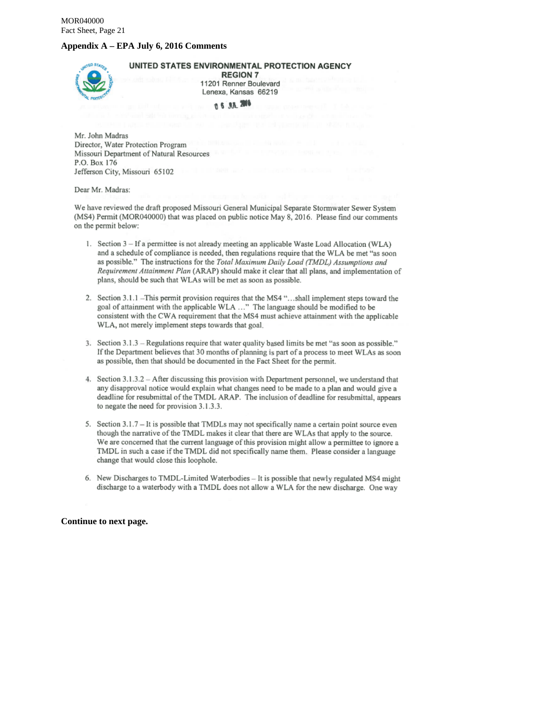#### **Appendix A – EPA July 6, 2016 Comments**



UNITED STATES ENVIRONMENTAL PROTECTION AGENCY

**REGION 7** 11201 Renner Boulevard Lenexa, Kansas 66219

**0 6 AA 2016** 

Mr. John Madras Director, Water Protection Program Missouri Department of Natural Resources P.O. Box 176 Jefferson City, Missouri 65102

#### Dear Mr. Madras:

We have reviewed the draft proposed Missouri General Municipal Separate Stormwater Sewer System (MS4) Permit (MOR040000) that was placed on public notice May 8, 2016. Please find our comments on the permit below:

- 1. Section 3 If a permittee is not already meeting an applicable Waste Load Allocation (WLA) and a schedule of compliance is needed, then regulations require that the WLA be met "as soon as possible." The instructions for the Total Maximum Daily Load (TMDL) Assumptions and Requirement Attainment Plan (ARAP) should make it clear that all plans, and implementation of plans, should be such that WLAs will be met as soon as possible.
- 2. Section 3.1.1 This permit provision requires that the MS4 "...shall implement steps toward the goal of attainment with the applicable WLA ..." The language should be modified to be consistent with the CWA requirement that the MS4 must achieve attainment with the applicable WLA, not merely implement steps towards that goal.
- 3. Section 3.1.3 Regulations require that water quality based limits be met "as soon as possible." If the Department believes that 30 months of planning is part of a process to meet WLAs as soon as possible, then that should be documented in the Fact Sheet for the permit.
- 4. Section 3.1.3.2 After discussing this provision with Department personnel, we understand that any disapproval notice would explain what changes need to be made to a plan and would give a deadline for resubmittal of the TMDL ARAP. The inclusion of deadline for resubmittal, appears to negate the need for provision 3.1.3.3.
- 5. Section 3.1.7 It is possible that TMDLs may not specifically name a certain point source even though the narrative of the TMDL makes it clear that there are WLAs that apply to the source. We are concerned that the current language of this provision might allow a permittee to ignore a TMDL in such a case if the TMDL did not specifically name them. Please consider a language change that would close this loophole.
- 6. New Discharges to TMDL-Limited Waterbodies It is possible that newly regulated MS4 might discharge to a waterbody with a TMDL does not allow a WLA for the new discharge. One way

#### **Continue to next page.**